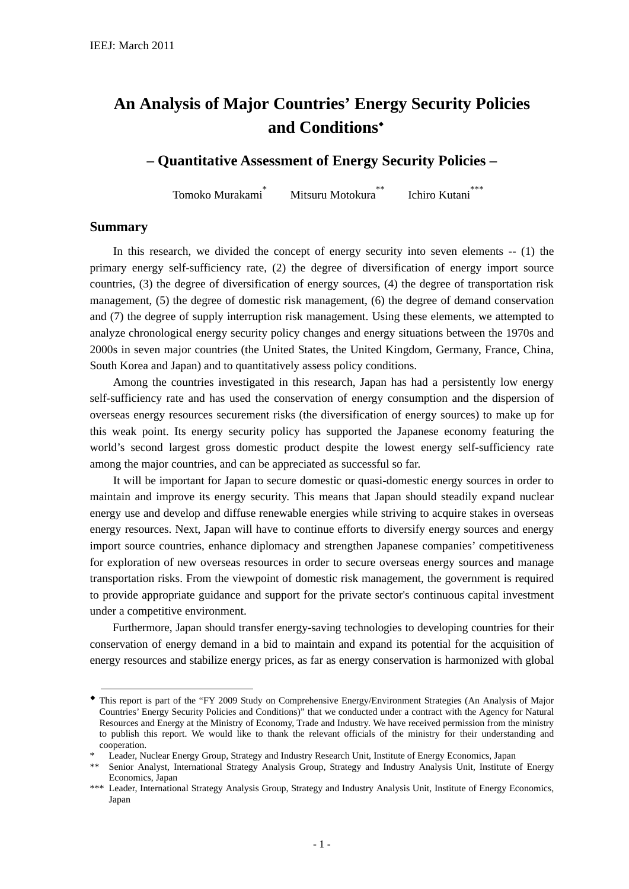# **An Analysis of Major Countries' Energy Security Policies and Conditions**◆

# **– Quantitative Assessment of Energy Security Policies –**

Tomoko Murakami\* Mitsuru Motokura<sup>\*\*</sup> Ichiro Kutani<sup>\*\*\*</sup>

#### **Summary**

<u>.</u>

In this research, we divided the concept of energy security into seven elements -- (1) the primary energy self-sufficiency rate, (2) the degree of diversification of energy import source countries, (3) the degree of diversification of energy sources, (4) the degree of transportation risk management, (5) the degree of domestic risk management, (6) the degree of demand conservation and (7) the degree of supply interruption risk management. Using these elements, we attempted to analyze chronological energy security policy changes and energy situations between the 1970s and 2000s in seven major countries (the United States, the United Kingdom, Germany, France, China, South Korea and Japan) and to quantitatively assess policy conditions.

Among the countries investigated in this research, Japan has had a persistently low energy self-sufficiency rate and has used the conservation of energy consumption and the dispersion of overseas energy resources securement risks (the diversification of energy sources) to make up for this weak point. Its energy security policy has supported the Japanese economy featuring the world's second largest gross domestic product despite the lowest energy self-sufficiency rate among the major countries, and can be appreciated as successful so far.

It will be important for Japan to secure domestic or quasi-domestic energy sources in order to maintain and improve its energy security. This means that Japan should steadily expand nuclear energy use and develop and diffuse renewable energies while striving to acquire stakes in overseas energy resources. Next, Japan will have to continue efforts to diversify energy sources and energy import source countries, enhance diplomacy and strengthen Japanese companies' competitiveness for exploration of new overseas resources in order to secure overseas energy sources and manage transportation risks. From the viewpoint of domestic risk management, the government is required to provide appropriate guidance and support for the private sector's continuous capital investment under a competitive environment.

Furthermore, Japan should transfer energy-saving technologies to developing countries for their conservation of energy demand in a bid to maintain and expand its potential for the acquisition of energy resources and stabilize energy prices, as far as energy conservation is harmonized with global

<sup>◆</sup> This report is part of the "FY 2009 Study on Comprehensive Energy/Environment Strategies (An Analysis of Major Countries' Energy Security Policies and Conditions)" that we conducted under a contract with the Agency for Natural Resources and Energy at the Ministry of Economy, Trade and Industry. We have received permission from the ministry to publish this report. We would like to thank the relevant officials of the ministry for their understanding and cooperation.

Leader, Nuclear Energy Group, Strategy and Industry Research Unit, Institute of Energy Economics, Japan

<sup>\*\*</sup> Senior Analyst, International Strategy Analysis Group, Strategy and Industry Analysis Unit, Institute of Energy Economics, Japan

<sup>\*\*\*</sup> Leader, International Strategy Analysis Group, Strategy and Industry Analysis Unit, Institute of Energy Economics, Japan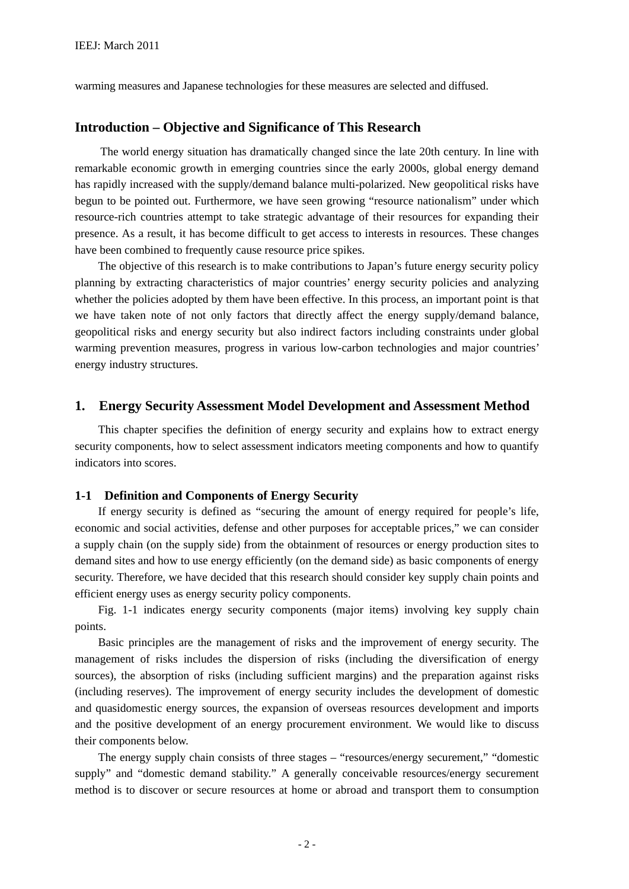warming measures and Japanese technologies for these measures are selected and diffused.

#### **Introduction – Objective and Significance of This Research**

The world energy situation has dramatically changed since the late 20th century. In line with remarkable economic growth in emerging countries since the early 2000s, global energy demand has rapidly increased with the supply/demand balance multi-polarized. New geopolitical risks have begun to be pointed out. Furthermore, we have seen growing "resource nationalism" under which resource-rich countries attempt to take strategic advantage of their resources for expanding their presence. As a result, it has become difficult to get access to interests in resources. These changes have been combined to frequently cause resource price spikes.

The objective of this research is to make contributions to Japan's future energy security policy planning by extracting characteristics of major countries' energy security policies and analyzing whether the policies adopted by them have been effective. In this process, an important point is that we have taken note of not only factors that directly affect the energy supply/demand balance, geopolitical risks and energy security but also indirect factors including constraints under global warming prevention measures, progress in various low-carbon technologies and major countries' energy industry structures.

#### **1. Energy Security Assessment Model Development and Assessment Method**

This chapter specifies the definition of energy security and explains how to extract energy security components, how to select assessment indicators meeting components and how to quantify indicators into scores.

#### **1-1 Definition and Components of Energy Security**

If energy security is defined as "securing the amount of energy required for people's life, economic and social activities, defense and other purposes for acceptable prices," we can consider a supply chain (on the supply side) from the obtainment of resources or energy production sites to demand sites and how to use energy efficiently (on the demand side) as basic components of energy security. Therefore, we have decided that this research should consider key supply chain points and efficient energy uses as energy security policy components.

Fig. 1-1 indicates energy security components (major items) involving key supply chain points.

Basic principles are the management of risks and the improvement of energy security. The management of risks includes the dispersion of risks (including the diversification of energy sources), the absorption of risks (including sufficient margins) and the preparation against risks (including reserves). The improvement of energy security includes the development of domestic and quasidomestic energy sources, the expansion of overseas resources development and imports and the positive development of an energy procurement environment. We would like to discuss their components below.

The energy supply chain consists of three stages – "resources/energy securement," "domestic supply" and "domestic demand stability." A generally conceivable resources/energy securement method is to discover or secure resources at home or abroad and transport them to consumption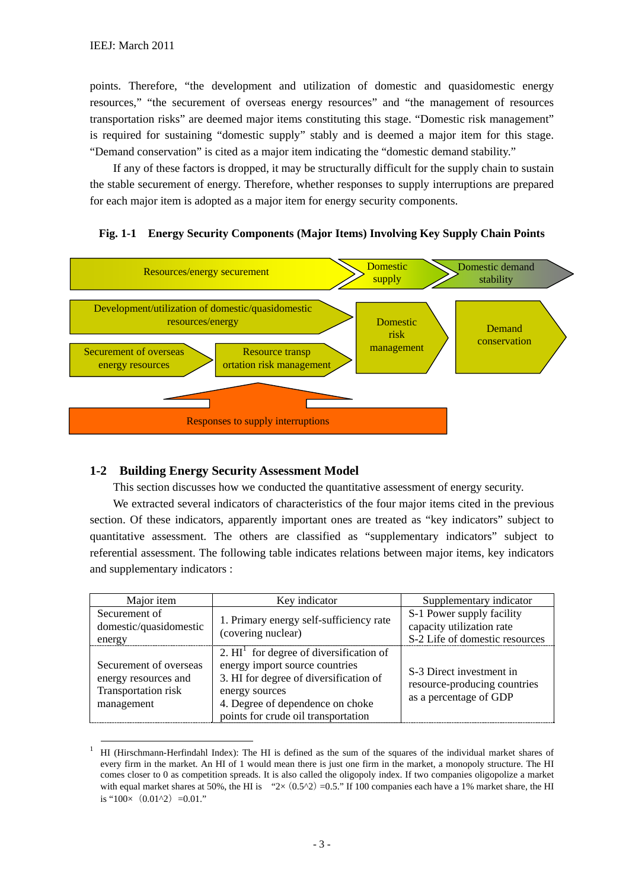points. Therefore, "the development and utilization of domestic and quasidomestic energy resources," "the securement of overseas energy resources" and "the management of resources transportation risks" are deemed major items constituting this stage. "Domestic risk management" is required for sustaining "domestic supply" stably and is deemed a major item for this stage. "Demand conservation" is cited as a major item indicating the "domestic demand stability."

If any of these factors is dropped, it may be structurally difficult for the supply chain to sustain the stable securement of energy. Therefore, whether responses to supply interruptions are prepared for each major item is adopted as a major item for energy security components.

### **Fig. 1-1 Energy Security Components (Major Items) Involving Key Supply Chain Points**



# **1-2 Building Energy Security Assessment Model**

This section discusses how we conducted the quantitative assessment of energy security.

We extracted several indicators of characteristics of the four major items cited in the previous section. Of these indicators, apparently important ones are treated as "key indicators" subject to quantitative assessment. The others are classified as "supplementary indicators" subject to referential assessment. The following table indicates relations between major items, key indicators and supplementary indicators :

| Major item                                                                          | Key indicator                                                                                                                                                                                                      | Supplementary indicator                                                                  |
|-------------------------------------------------------------------------------------|--------------------------------------------------------------------------------------------------------------------------------------------------------------------------------------------------------------------|------------------------------------------------------------------------------------------|
| Securement of<br>domestic/quasidomestic<br>energy                                   | 1. Primary energy self-sufficiency rate<br>(covering nuclear)                                                                                                                                                      | S-1 Power supply facility<br>capacity utilization rate<br>S-2 Life of domestic resources |
| Securement of overseas<br>energy resources and<br>Transportation risk<br>management | 2. $HIT$ for degree of diversification of<br>energy import source countries<br>3. HI for degree of diversification of<br>energy sources<br>4. Degree of dependence on choke<br>points for crude oil transportation | S-3 Direct investment in<br>resource-producing countries<br>as a percentage of GDP       |

 <sup>1</sup> HI (Hirschmann-Herfindahl Index): The HI is defined as the sum of the squares of the individual market shares of every firm in the market. An HI of 1 would mean there is just one firm in the market, a monopoly structure. The HI comes closer to 0 as competition spreads. It is also called the oligopoly index. If two companies oligopolize a market with equal market shares at 50%, the HI is " $2 \times (0.5^2) = 0.5$ ." If 100 companies each have a 1% market share, the HI is " $100 \times (0.01^{2}) = 0.01$ ."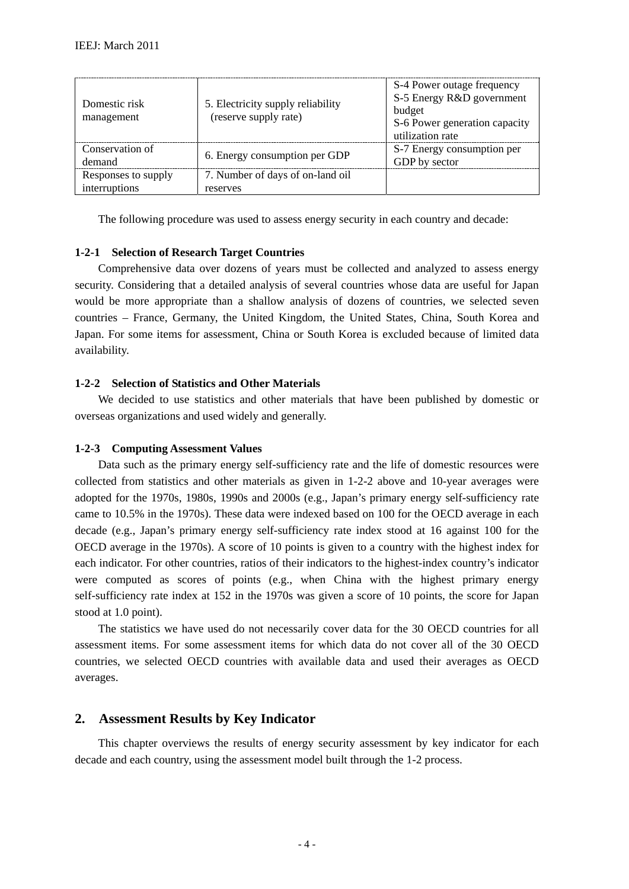| Domestic risk<br>management          | 5. Electricity supply reliability<br>(reserve supply rate) | S-4 Power outage frequency<br>S-5 Energy R&D government<br>budget<br>S-6 Power generation capacity<br>utilization rate |
|--------------------------------------|------------------------------------------------------------|------------------------------------------------------------------------------------------------------------------------|
| Conservation of<br>demand            | 6. Energy consumption per GDP                              | S-7 Energy consumption per<br>GDP by sector                                                                            |
| Responses to supply<br>interruptions | 7. Number of days of on-land oil<br>reserves               |                                                                                                                        |

The following procedure was used to assess energy security in each country and decade:

#### **1-2-1 Selection of Research Target Countries**

Comprehensive data over dozens of years must be collected and analyzed to assess energy security. Considering that a detailed analysis of several countries whose data are useful for Japan would be more appropriate than a shallow analysis of dozens of countries, we selected seven countries – France, Germany, the United Kingdom, the United States, China, South Korea and Japan. For some items for assessment, China or South Korea is excluded because of limited data availability.

#### **1-2-2 Selection of Statistics and Other Materials**

We decided to use statistics and other materials that have been published by domestic or overseas organizations and used widely and generally.

#### **1-2-3 Computing Assessment Values**

Data such as the primary energy self-sufficiency rate and the life of domestic resources were collected from statistics and other materials as given in 1-2-2 above and 10-year averages were adopted for the 1970s, 1980s, 1990s and 2000s (e.g., Japan's primary energy self-sufficiency rate came to 10.5% in the 1970s). These data were indexed based on 100 for the OECD average in each decade (e.g., Japan's primary energy self-sufficiency rate index stood at 16 against 100 for the OECD average in the 1970s). A score of 10 points is given to a country with the highest index for each indicator. For other countries, ratios of their indicators to the highest-index country's indicator were computed as scores of points (e.g., when China with the highest primary energy self-sufficiency rate index at 152 in the 1970s was given a score of 10 points, the score for Japan stood at 1.0 point).

The statistics we have used do not necessarily cover data for the 30 OECD countries for all assessment items. For some assessment items for which data do not cover all of the 30 OECD countries, we selected OECD countries with available data and used their averages as OECD averages.

#### **2. Assessment Results by Key Indicator**

This chapter overviews the results of energy security assessment by key indicator for each decade and each country, using the assessment model built through the 1-2 process.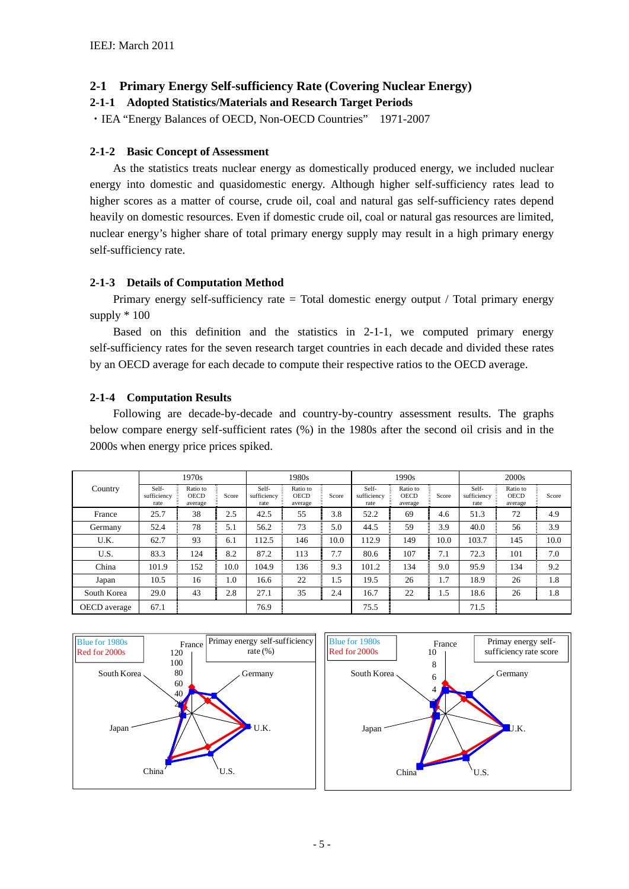# **2-1 Primary Energy Self-sufficiency Rate (Covering Nuclear Energy)**

### **2-1-1 Adopted Statistics/Materials and Research Target Periods**

・IEA "Energy Balances of OECD, Non-OECD Countries" 1971-2007

#### **2-1-2 Basic Concept of Assessment**

As the statistics treats nuclear energy as domestically produced energy, we included nuclear energy into domestic and quasidomestic energy. Although higher self-sufficiency rates lead to higher scores as a matter of course, crude oil, coal and natural gas self-sufficiency rates depend heavily on domestic resources. Even if domestic crude oil, coal or natural gas resources are limited, nuclear energy's higher share of total primary energy supply may result in a high primary energy self-sufficiency rate.

### **2-1-3 Details of Computation Method**

Primary energy self-sufficiency rate = Total domestic energy output / Total primary energy supply \* 100

Based on this definition and the statistics in 2-1-1, we computed primary energy self-sufficiency rates for the seven research target countries in each decade and divided these rates by an OECD average for each decade to compute their respective ratios to the OECD average.

### **2-1-4 Computation Results**

Following are decade-by-decade and country-by-country assessment results. The graphs below compare energy self-sufficient rates (%) in the 1980s after the second oil crisis and in the 2000s when energy price prices spiked.

|              |                              | 1970s                              |       | 1980s                        |                                    |       |                              | 1990s                              |       | 2000s                        |                                    |       |
|--------------|------------------------------|------------------------------------|-------|------------------------------|------------------------------------|-------|------------------------------|------------------------------------|-------|------------------------------|------------------------------------|-------|
| Country      | Self-<br>sufficiency<br>rate | Ratio to<br><b>OECD</b><br>average | Score | Self-<br>sufficiency<br>rate | Ratio to<br><b>OECD</b><br>average | Score | Self-<br>sufficiency<br>rate | Ratio to<br><b>OECD</b><br>average | Score | Self-<br>sufficiency<br>rate | Ratio to<br><b>OECD</b><br>average | Score |
| France       | 25.7                         | 38                                 | 2.5   | 42.5                         | 55                                 | 3.8   | 52.2                         | 69                                 | 4.6   | 51.3                         | 72                                 | 4.9   |
| Germany      | 52.4                         | 78                                 | 5.1   | 56.2                         | 73                                 | 5.0   | 44.5                         | 59                                 | 3.9   | 40.0                         | 56                                 | 3.9   |
| U.K.         | 62.7                         | 93                                 | 6.1   | 112.5                        | 146                                | 10.0  | 112.9                        | 149                                | 10.0  | 103.7                        | 145                                | 10.0  |
| U.S.         | 83.3                         | 124                                | 8.2   | 87.2                         | 113                                | 7.7   | 80.6                         | 107                                | 7.1   | 72.3                         | 101                                | 7.0   |
| China        | 101.9                        | 152                                | 10.0  | 104.9                        | 136                                | 9.3   | 101.2                        | 134                                | 9.0   | 95.9                         | 134                                | 9.2   |
| Japan        | 10.5                         | 16                                 | 1.0   | 16.6                         | 22                                 | 1.5   | 19.5                         | 26                                 | 1.7   | 18.9                         | 26                                 | 1.8   |
| South Korea  | 29.0                         | 43                                 | 2.8   | 27.1                         | 35                                 | 2.4   | 16.7                         | 22                                 | 1.5   | 18.6                         | 26                                 | 1.8   |
| OECD average | 67.1                         |                                    |       | 76.9                         |                                    |       | 75.5                         |                                    |       | 71.5                         |                                    |       |



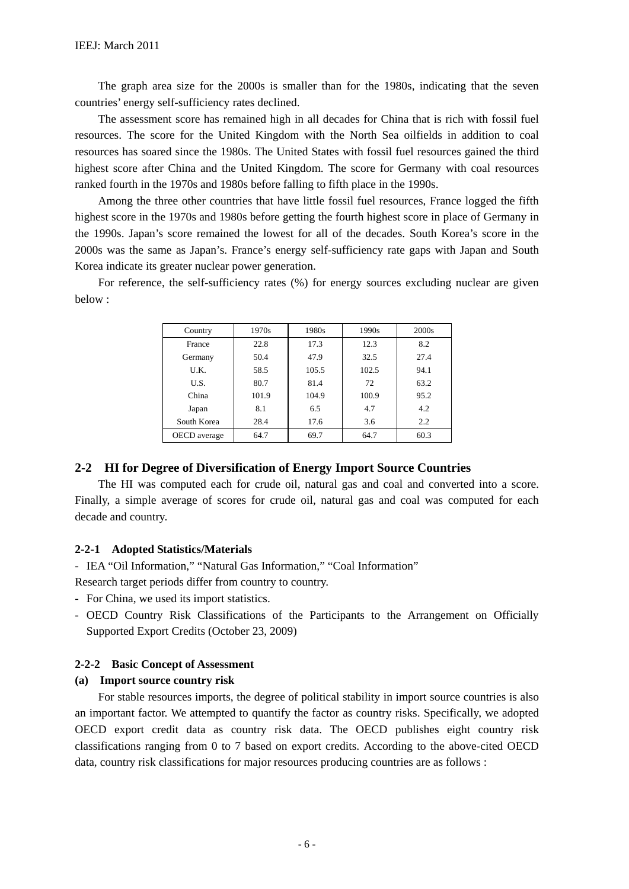The graph area size for the 2000s is smaller than for the 1980s, indicating that the seven countries' energy self-sufficiency rates declined.

The assessment score has remained high in all decades for China that is rich with fossil fuel resources. The score for the United Kingdom with the North Sea oilfields in addition to coal resources has soared since the 1980s. The United States with fossil fuel resources gained the third highest score after China and the United Kingdom. The score for Germany with coal resources ranked fourth in the 1970s and 1980s before falling to fifth place in the 1990s.

Among the three other countries that have little fossil fuel resources, France logged the fifth highest score in the 1970s and 1980s before getting the fourth highest score in place of Germany in the 1990s. Japan's score remained the lowest for all of the decades. South Korea's score in the 2000s was the same as Japan's. France's energy self-sufficiency rate gaps with Japan and South Korea indicate its greater nuclear power generation.

For reference, the self-sufficiency rates (%) for energy sources excluding nuclear are given below :

| Country      | 1970s | 1980s | 1990s | 2000 <sub>s</sub> |
|--------------|-------|-------|-------|-------------------|
| France       | 22.8  | 17.3  | 12.3  | 8.2               |
| Germany      | 50.4  | 47.9  | 32.5  | 27.4              |
| U.K.         | 58.5  | 105.5 | 102.5 | 94.1              |
| U.S.         | 80.7  | 81.4  | 72    | 63.2              |
| China        | 101.9 | 104.9 | 100.9 | 95.2              |
| Japan        | 8.1   | 6.5   | 4.7   | 4.2               |
| South Korea  | 28.4  | 17.6  | 3.6   | 2.2               |
| OECD average | 64.7  | 69.7  | 64.7  | 60.3              |

#### **2-2 HI for Degree of Diversification of Energy Import Source Countries**

The HI was computed each for crude oil, natural gas and coal and converted into a score. Finally, a simple average of scores for crude oil, natural gas and coal was computed for each decade and country.

#### **2-2-1 Adopted Statistics/Materials**

- IEA "Oil Information," "Natural Gas Information," "Coal Information"

Research target periods differ from country to country.

- For China, we used its import statistics.
- OECD Country Risk Classifications of the Participants to the Arrangement on Officially Supported Export Credits (October 23, 2009)

#### **2-2-2 Basic Concept of Assessment**

#### **(a) Import source country risk**

For stable resources imports, the degree of political stability in import source countries is also an important factor. We attempted to quantify the factor as country risks. Specifically, we adopted OECD export credit data as country risk data. The OECD publishes eight country risk classifications ranging from 0 to 7 based on export credits. According to the above-cited OECD data, country risk classifications for major resources producing countries are as follows :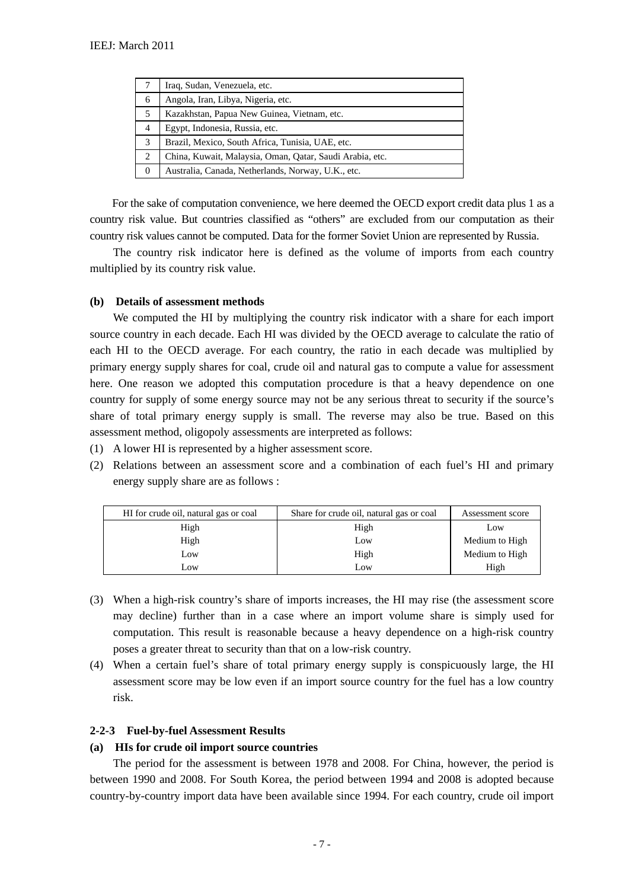|   | Iraq, Sudan, Venezuela, etc.                             |
|---|----------------------------------------------------------|
| 6 | Angola, Iran, Libya, Nigeria, etc.                       |
| 5 | Kazakhstan, Papua New Guinea, Vietnam, etc.              |
| 4 | Egypt, Indonesia, Russia, etc.                           |
| 3 | Brazil, Mexico, South Africa, Tunisia, UAE, etc.         |
| 2 | China, Kuwait, Malaysia, Oman, Qatar, Saudi Arabia, etc. |
|   | Australia, Canada, Netherlands, Norway, U.K., etc.       |

For the sake of computation convenience, we here deemed the OECD export credit data plus 1 as a country risk value. But countries classified as "others" are excluded from our computation as their country risk values cannot be computed. Data for the former Soviet Union are represented by Russia.

The country risk indicator here is defined as the volume of imports from each country multiplied by its country risk value.

#### **(b) Details of assessment methods**

We computed the HI by multiplying the country risk indicator with a share for each import source country in each decade. Each HI was divided by the OECD average to calculate the ratio of each HI to the OECD average. For each country, the ratio in each decade was multiplied by primary energy supply shares for coal, crude oil and natural gas to compute a value for assessment here. One reason we adopted this computation procedure is that a heavy dependence on one country for supply of some energy source may not be any serious threat to security if the source's share of total primary energy supply is small. The reverse may also be true. Based on this assessment method, oligopoly assessments are interpreted as follows:

- (1) A lower HI is represented by a higher assessment score.
- (2) Relations between an assessment score and a combination of each fuel's HI and primary energy supply share are as follows :

| HI for crude oil, natural gas or coal | Share for crude oil, natural gas or coal | Assessment score |
|---------------------------------------|------------------------------------------|------------------|
| High                                  | High                                     | Low              |
| High                                  | Low                                      | Medium to High   |
| Low                                   | High                                     | Medium to High   |
| Low                                   | Low                                      | High             |

- (3) When a high-risk country's share of imports increases, the HI may rise (the assessment score may decline) further than in a case where an import volume share is simply used for computation. This result is reasonable because a heavy dependence on a high-risk country poses a greater threat to security than that on a low-risk country.
- (4) When a certain fuel's share of total primary energy supply is conspicuously large, the HI assessment score may be low even if an import source country for the fuel has a low country risk.

#### **2-2-3 Fuel-by-fuel Assessment Results**

#### **(a) HIs for crude oil import source countries**

The period for the assessment is between 1978 and 2008. For China, however, the period is between 1990 and 2008. For South Korea, the period between 1994 and 2008 is adopted because country-by-country import data have been available since 1994. For each country, crude oil import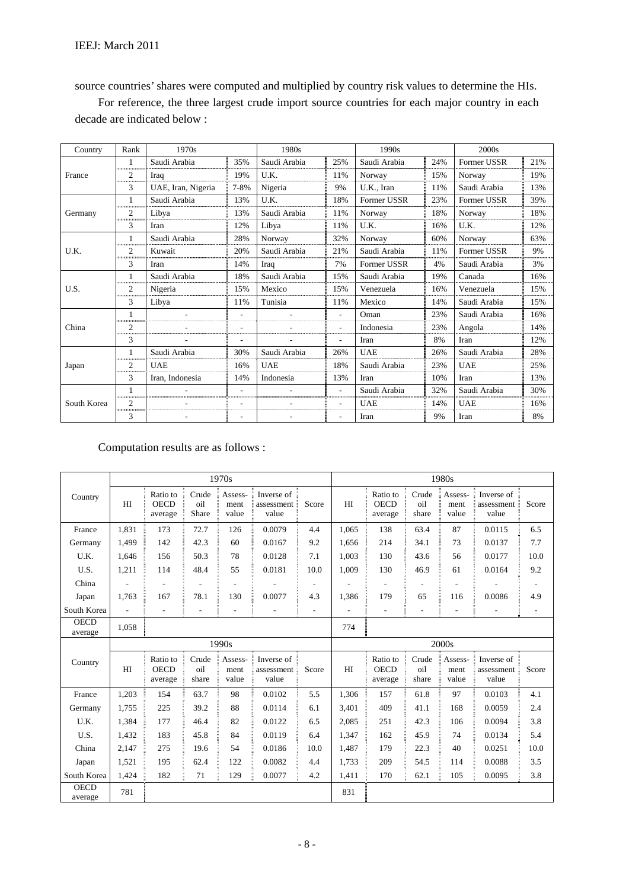source countries' shares were computed and multiplied by country risk values to determine the HIs.

For reference, the three largest crude import source countries for each major country in each decade are indicated below :

| Country     | Rank                | 1970s              |      | 1980s        |     | 1990s        |     | 2000 <sub>s</sub> |     |
|-------------|---------------------|--------------------|------|--------------|-----|--------------|-----|-------------------|-----|
|             |                     | Saudi Arabia       | 35%  | Saudi Arabia | 25% | Saudi Arabia | 24% | Former USSR       | 21% |
| France      | $\overline{c}$<br>. | Iraq               | 19%  | U.K.         | 11% | Norway       | 15% | Norway            | 19% |
|             | 3                   | UAE, Iran, Nigeria | 7-8% | Nigeria      | 9%  | U.K., Iran   | 11% | Saudi Arabia      | 13% |
|             | .                   | Saudi Arabia       | 13%  | U.K.         | 18% | Former USSR  | 23% | Former USSR       | 39% |
| Germany     | $\overline{c}$<br>  | Libya              | 13%  | Saudi Arabia | 11% | Norway       | 18% | Norway            | 18% |
|             | 3                   | Iran               | 12%  | Libva        | 11% | U.K.         | 16% | U.K.              | 12% |
|             | .                   | Saudi Arabia       | 28%  | Norway       | 32% | Norway       | 60% | Norway            | 63% |
| U.K.        | $\overline{c}$      | Kuwait             | 20%  | Saudi Arabia | 21% | Saudi Arabia | 11% | Former USSR       | 9%  |
|             | 3                   | Iran               | 14%  | Iraq         | 7%  | Former USSR  | 4%  | Saudi Arabia      | 3%  |
|             | 1<br>.              | Saudi Arabia       | 18%  | Saudi Arabia | 15% | Saudi Arabia | 19% | Canada            | 16% |
| U.S.        | $\overline{c}$<br>  | Nigeria            | 15%  | Mexico       | 15% | Venezuela    | 16% | Venezuela         | 15% |
|             | 3                   | Libya              | 11%  | Tunisia      | 11% | Mexico       | 14% | Saudi Arabia      | 15% |
|             | 1<br>.              |                    |      |              | ٠   | Oman         | 23% | Saudi Arabia      | 16% |
| China       | $\overline{c}$<br>. |                    |      |              | ٠   | Indonesia    | 23% | Angola            | 14% |
|             | 3                   |                    |      |              | ٠   | Iran         | 8%  | Iran              | 12% |
|             | 1                   | Saudi Arabia       | 30%  | Saudi Arabia | 26% | <b>UAE</b>   | 26% | Saudi Arabia      | 28% |
| Japan       | 2<br>.              | <b>UAE</b>         | 16%  | <b>UAE</b>   | 18% | Saudi Arabia | 23% | <b>UAE</b>        | 25% |
|             | 3                   | Iran, Indonesia    | 14%  | Indonesia    | 13% | Iran         | 10% | Iran              | 13% |
|             |                     |                    |      |              | ٠   | Saudi Arabia | 32% | Saudi Arabia      | 30% |
| South Korea | $\overline{c}$<br>  |                    |      |              |     | <b>UAE</b>   | 14% | <b>UAE</b>        | 16% |
|             | 3                   |                    |      |              |     | Iran         | 9%  | Iran              | 8%  |

# Computation results are as follows :

|                        |                |                                    |                       | 1970s                    |                                   |       |       |                                    |                       | 1980s                    |                                   |       |
|------------------------|----------------|------------------------------------|-----------------------|--------------------------|-----------------------------------|-------|-------|------------------------------------|-----------------------|--------------------------|-----------------------------------|-------|
| Country                | H <sub>I</sub> | Ratio to<br><b>OECD</b><br>average | Crude<br>oil<br>Share | Assess-<br>ment<br>value | Inverse of<br>assessment<br>value | Score | H     | Ratio to<br><b>OECD</b><br>average | Crude<br>oil<br>share | Assess-<br>ment<br>value | Inverse of<br>assessment<br>value | Score |
| France                 | 1,831          | 173                                | 72.7                  | 126                      | 0.0079                            | 4.4   | 1,065 | 138                                | 63.4                  | 87                       | 0.0115                            | 6.5   |
| Germany                | 1,499          | 142                                | 42.3                  | 60                       | 0.0167                            | 9.2   | 1,656 | 214                                | 34.1                  | 73                       | 0.0137                            | 7.7   |
| U.K.                   | 1,646          | 156                                | 50.3                  | 78                       | 0.0128                            | 7.1   | 1,003 | 130                                | 43.6                  | 56                       | 0.0177                            | 10.0  |
| U.S.                   | 1,211          | 114                                | 48.4                  | 55                       | 0.0181                            | 10.0  | 1.009 | 130                                | 46.9                  | 61                       | 0.0164                            | 9.2   |
| China                  |                |                                    |                       |                          |                                   |       |       | $\overline{a}$                     |                       |                          |                                   |       |
| Japan                  | 1,763          | 167                                | 78.1                  | 130                      | 0.0077                            | 4.3   | 1,386 | 179                                | 65                    | 116                      | 0.0086                            | 4.9   |
| South Korea            |                | ä,                                 |                       |                          |                                   | ٠     |       | $\overline{\phantom{a}}$           |                       |                          |                                   |       |
| <b>OECD</b><br>average | 1,058          |                                    |                       |                          |                                   |       | 774   |                                    |                       |                          |                                   |       |
|                        |                |                                    |                       |                          |                                   |       |       |                                    |                       |                          |                                   |       |
|                        |                |                                    |                       | 1990s                    |                                   |       |       |                                    |                       | 2000s                    |                                   |       |
| Country                | HI             | Ratio to<br><b>OECD</b><br>average | Crude<br>oil<br>share | Assess-<br>ment<br>value | Inverse of<br>assessment<br>value | Score | H     | Ratio to<br><b>OECD</b><br>average | Crude<br>oil<br>share | Assess-<br>ment<br>value | Inverse of<br>assessment<br>value | Score |
| France                 | 1,203          | 154                                | 63.7                  | 98                       | 0.0102                            | 5.5   | 1.306 | 157                                | 61.8                  | 97                       | 0.0103                            | 4.1   |
| Germany                | 1,755          | 225                                | 39.2                  | 88                       | 0.0114                            | 6.1   | 3,401 | 409                                | 41.1                  | 168                      | 0.0059                            | 2.4   |
| U.K.                   | 1,384          | 177                                | 46.4                  | 82                       | 0.0122                            | 6.5   | 2,085 | 251                                | 42.3                  | 106                      | 0.0094                            | 3.8   |
| U.S.                   | 1,432          | 183                                | 45.8                  | 84                       | 0.0119                            | 6.4   | 1,347 | 162                                | 45.9                  | 74                       | 0.0134                            | 5.4   |
| China                  | 2,147          | 275                                | 19.6                  | 54                       | 0.0186                            | 10.0  | 1,487 | 179                                | 22.3                  | 40                       | 0.0251                            | 10.0  |
| Japan                  | 1,521          | 195                                | 62.4                  | 122                      | 0.0082                            | 4.4   | 1,733 | 209                                | 54.5                  | 114                      | 0.0088                            | 3.5   |
| South Korea            | 1,424          | 182                                | 71                    | 129                      | 0.0077                            | 4.2   | 1,411 | 170                                | 62.1                  | 105                      | 0.0095                            | 3.8   |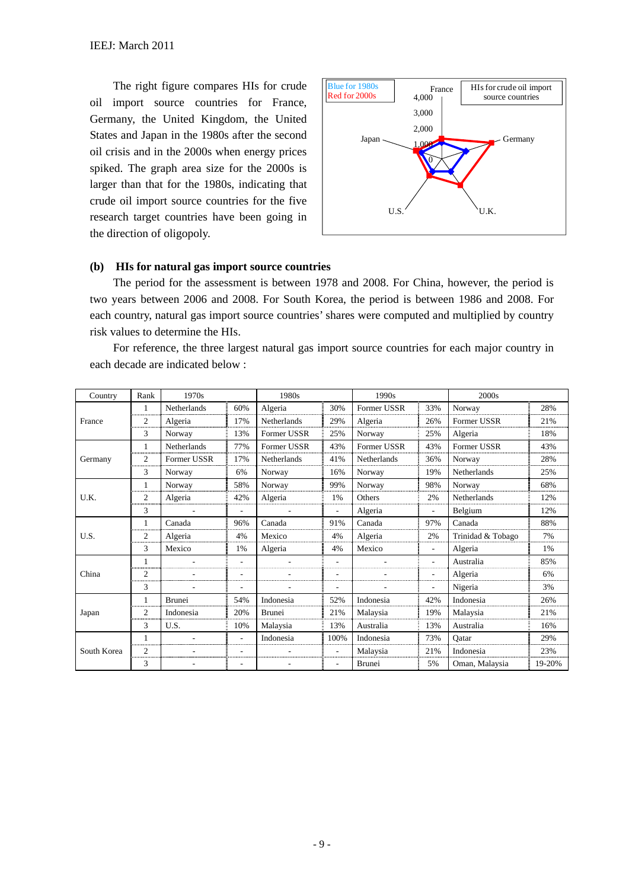The right figure compares HIs for crude oil import source countries for France, Germany, the United Kingdom, the United States and Japan in the 1980s after the second oil crisis and in the 2000s when energy prices spiked. The graph area size for the 2000s is larger than that for the 1980s, indicating that crude oil import source countries for the five research target countries have been going in the direction of oligopoly.



#### **(b) HIs for natural gas import source countries**

The period for the assessment is between 1978 and 2008. For China, however, the period is two years between 2006 and 2008. For South Korea, the period is between 1986 and 2008. For each country, natural gas import source countries' shares were computed and multiplied by country risk values to determine the HIs.

For reference, the three largest natural gas import source countries for each major country in each decade are indicated below :

| Country     | Rank               | 1970s              |     | 1980s          |                          | 1990s         |                          | 2000s             |        |  |  |
|-------------|--------------------|--------------------|-----|----------------|--------------------------|---------------|--------------------------|-------------------|--------|--|--|
|             | 1<br>              | Netherlands        | 60% | Algeria        | 30%                      | Former USSR   | 33%                      | Norway            | 28%    |  |  |
| France      | $\overline{2}$     | Algeria            | 17% | Netherlands    | 29%                      | Algeria       | 26%                      | Former USSR       | 21%    |  |  |
|             | 3                  | Norway             | 13% | Former USSR    | 25%                      | Norway        | 25%                      | Algeria           | 18%    |  |  |
|             | $\mathbf{1}$<br>   | <b>Netherlands</b> | 77% | Former USSR    | 43%                      | Former USSR   | 43%                      | Former USSR       | 43%    |  |  |
| Germany     | $\overline{c}$<br> | Former USSR        | 17% | Netherlands    | 41%                      | Netherlands   | 36%                      | Norway            | 28%    |  |  |
|             | 3                  | Norway             | 6%  | Norway         | 16%                      | Norway        | 19%                      | Netherlands       | 25%    |  |  |
|             |                    | Norway             | 58% | Norway         | 99%                      | Norway        | 98%                      | Norway            | 68%    |  |  |
| U.K.        | $\overline{2}$<br> | Algeria            | 42% | Algeria        | 1%                       | Others        | 2%                       | Netherlands       | 12%    |  |  |
|             | 3                  |                    |     |                |                          | Algeria       | ٠                        | Belgium           | 12%    |  |  |
|             | $\mathbf{1}$<br>   | Canada             | 96% | Canada         | 91%                      | Canada        | 97%                      | Canada            | 88%    |  |  |
| U.S.        | $\overline{c}$<br> | Algeria            | 4%  | Mexico         | 4%                       | Algeria       | 2%                       | Trinidad & Tobago | 7%     |  |  |
|             | 3                  | Mexico             | 1%  | Algeria        | 4%                       | Mexico        | $\sim$                   | Algeria           | 1%     |  |  |
|             | $\mathbf{1}$       |                    | ٠   | $\overline{a}$ | $\overline{\phantom{a}}$ |               | ٠                        | Australia         | 85%    |  |  |
| China       | 2<br>              |                    |     |                |                          |               | $\overline{\phantom{a}}$ | Algeria           | 6%     |  |  |
|             | 3                  |                    |     |                |                          |               |                          | Nigeria           | 3%     |  |  |
|             |                    | <b>Brunei</b>      | 54% | Indonesia      | 52%                      | Indonesia     | 42%                      | Indonesia         | 26%    |  |  |
| Japan       | $\overline{c}$     | Indonesia          | 20% | <b>Brunei</b>  | 21%                      | Malaysia      | 19%                      | Malaysia          | 21%    |  |  |
|             | 3                  | U.S.               | 10% | Malaysia       | 13%                      | Australia     | 13%                      | Australia         | 16%    |  |  |
|             |                    |                    |     | Indonesia      | 100%                     | Indonesia     | 73%                      | Oatar             | 29%    |  |  |
| South Korea | $\overline{2}$     |                    |     |                |                          | Malaysia      | 21%                      | Indonesia         | 23%    |  |  |
|             | 3                  |                    |     |                |                          | <b>Brunei</b> | 5%                       | Oman, Malaysia    | 19-20% |  |  |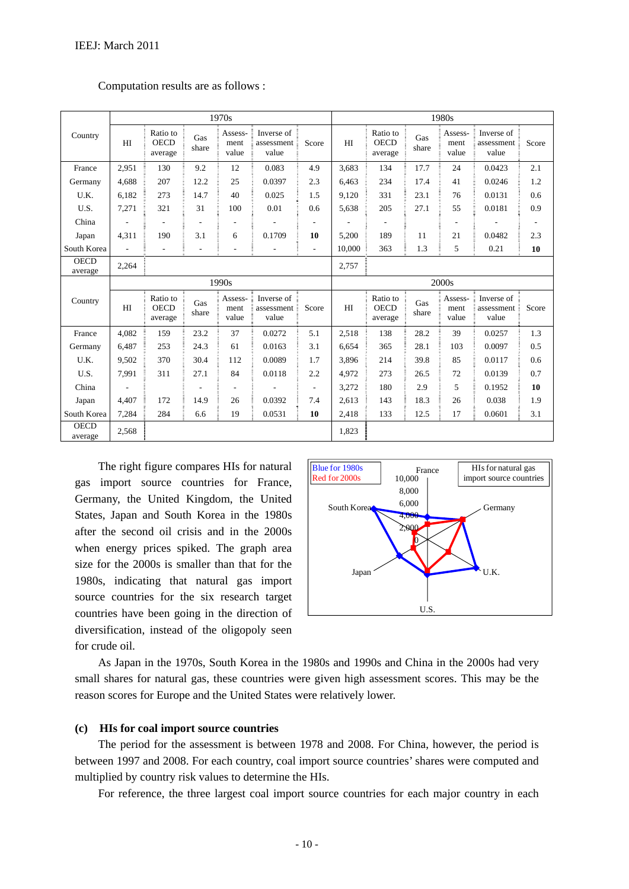|                        |                          |                                    |              | 1970s                    |                                   |                          | 1980s  |                                    |              |                          |                                   |       |
|------------------------|--------------------------|------------------------------------|--------------|--------------------------|-----------------------------------|--------------------------|--------|------------------------------------|--------------|--------------------------|-----------------------------------|-------|
| Country                | HI                       | Ratio to<br><b>OECD</b><br>average | Gas<br>share | Assess-<br>ment<br>value | Inverse of<br>assessment<br>value | Score                    | HI     | Ratio to<br><b>OECD</b><br>average | Gas<br>share | Assess-<br>ment<br>value | Inverse of<br>assessment<br>value | Score |
| France                 | 2,951                    | 130                                | 9.2          | 12                       | 0.083                             | 4.9                      | 3,683  | 134                                | 17.7         | 24                       | 0.0423                            | 2.1   |
| Germany                | 4.688                    | 207                                | 12.2         | 25                       | 0.0397                            | 2.3                      | 6.463  | 234                                | 17.4         | 41                       | 0.0246                            | 1.2   |
| U.K.                   | 6.182                    | 273                                | 14.7         | 40                       | 0.025                             | 1.5                      | 9,120  | 331                                | 23.1         | 76                       | 0.0131                            | 0.6   |
| U.S.                   | 7,271                    | 321                                | 31           | 100                      | 0.01                              | 0.6                      | 5,638  | 205                                | 27.1         | 55                       | 0.0181                            | 0.9   |
| China                  |                          |                                    |              |                          |                                   |                          |        |                                    |              |                          |                                   |       |
| Japan                  | 4,311                    | 190                                | 3.1          | 6                        | 0.1709                            | 10                       | 5,200  | 189                                | 11           | 21                       | 0.0482                            | 2.3   |
| South Korea            | $\overline{\phantom{a}}$ | $\overline{\phantom{0}}$           |              |                          |                                   | $\overline{\phantom{a}}$ | 10,000 | 363                                | 1.3          | 5                        | 0.21                              | 10    |
| <b>OECD</b><br>average | 2,264                    |                                    |              |                          |                                   |                          | 2,757  |                                    |              |                          |                                   |       |
|                        |                          |                                    |              |                          |                                   |                          |        |                                    |              |                          |                                   |       |
|                        |                          |                                    |              | 1990s                    |                                   |                          |        |                                    |              | 2000s                    |                                   |       |
| Country                | H <sub>I</sub>           | Ratio to<br><b>OECD</b><br>average | Gas<br>share | Assess-<br>ment<br>value | Inverse of<br>assessment<br>value | Score                    | HI     | Ratio to<br><b>OECD</b><br>average | Gas<br>share | Assess-<br>ment<br>value | Inverse of<br>assessment<br>value | Score |
| France                 | 4.082                    | 159                                | 23.2         | 37                       | 0.0272                            | 5.1                      | 2.518  | 138                                | 28.2         | 39                       | 0.0257                            | 1.3   |
| Germany                | 6,487                    | 253                                | 24.3         | 61                       | 0.0163                            | 3.1                      | 6,654  | 365                                | 28.1         | 103                      | 0.0097                            | 0.5   |
| U.K.                   | 9,502                    | 370                                | 30.4         | 112                      | 0.0089                            | 1.7                      | 3,896  | 214                                | 39.8         | 85                       | 0.0117                            | 0.6   |
| U.S.                   | 7,991                    | 311                                | 27.1         | 84                       | 0.0118                            | 2.2                      | 4,972  | 273                                | 26.5         | 72                       | 0.0139                            | 0.7   |
| China                  |                          |                                    |              |                          |                                   | $\overline{\phantom{a}}$ | 3,272  | 180                                | 2.9          | 5                        | 0.1952                            | 10    |
| Japan                  | 4,407                    | 172                                | 14.9         | 26                       | 0.0392                            | 7.4                      | 2.613  | 143                                | 18.3         | 26                       | 0.038                             | 1.9   |
| South Korea            | 7,284                    | 284                                | 6.6          | 19                       | 0.0531                            | 10                       | 2,418  | 133                                | 12.5         | 17                       | 0.0601                            | 3.1   |

#### Computation results are as follows :

The right figure compares HIs for natural gas import source countries for France, Germany, the United Kingdom, the United States, Japan and South Korea in the 1980s after the second oil crisis and in the 2000s when energy prices spiked. The graph area size for the 2000s is smaller than that for the 1980s, indicating that natural gas import source countries for the six research target countries have been going in the direction of diversification, instead of the oligopoly seen for crude oil.



As Japan in the 1970s, South Korea in the 1980s and 1990s and China in the 2000s had very small shares for natural gas, these countries were given high assessment scores. This may be the reason scores for Europe and the United States were relatively lower.

#### **(c) HIs for coal import source countries**

The period for the assessment is between 1978 and 2008. For China, however, the period is between 1997 and 2008. For each country, coal import source countries' shares were computed and multiplied by country risk values to determine the HIs.

For reference, the three largest coal import source countries for each major country in each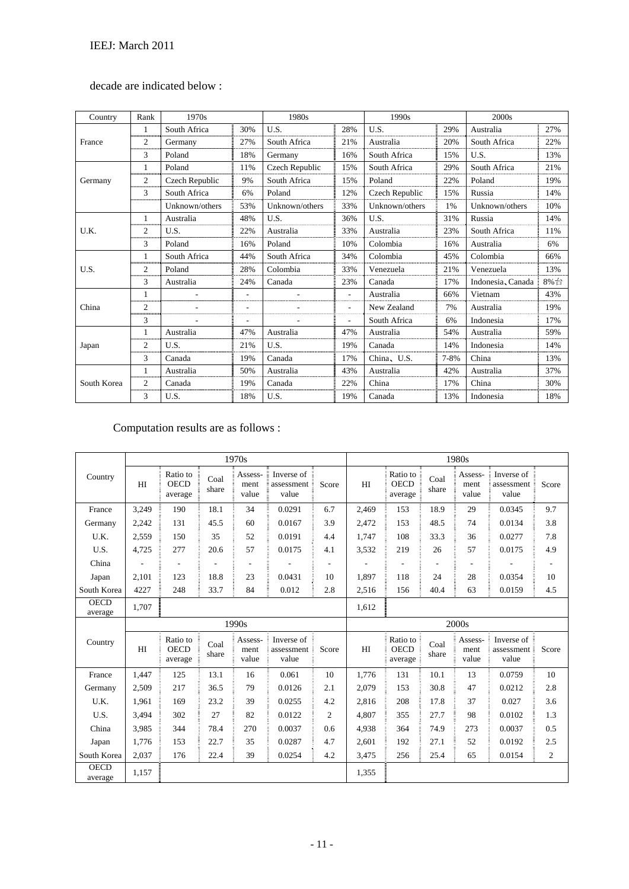# decade are indicated below :

| Country     | Rank                | 1970s          |     | 1980s          |     | 1990s          |          | 2000s             |     |
|-------------|---------------------|----------------|-----|----------------|-----|----------------|----------|-------------------|-----|
|             |                     | South Africa   | 30% | U.S.           | 28% | U.S.           | 29%      | Australia         | 27% |
| France      | $\overline{2}$<br>  | Germany        | 27% | South Africa   | 21% | Australia      | 20%      | South Africa      | 22% |
|             | 3                   | Poland         | 18% | Germany        | 16% | South Africa   | 15%      | U.S.              | 13% |
|             |                     | Poland         | 11% | Czech Republic | 15% | South Africa   | 29%      | South Africa      | 21% |
| Germany     | $\overline{c}$      | Czech Republic | 9%  | South Africa   | 15% | Poland         | 22%      | Poland            | 19% |
|             | 3<br>               | South Africa   | 6%  | Poland         | 12% | Czech Republic | 15%      | Russia            | 14% |
|             |                     | Unknown/others | 53% | Unknown/others | 33% | Unknown/others | 1%       | Unknown/others    | 10% |
|             | 1                   | Australia      | 48% | U.S.           | 36% | U.S.           | 31%      | Russia            | 14% |
| U.K.        | 2<br>               | U.S.           | 22% | Australia      | 33% | Australia      | 23%      | South Africa      | 11% |
|             | 3                   | Poland         | 16% | Poland         | 10% | Colombia       | 16%      | Australia         | 6%  |
|             | 1<br>               | South Africa   | 44% | South Africa   | 34% | Colombia       | 45%      | Colombia          | 66% |
| U.S.        | $\overline{2}$<br>  | Poland         | 28% | Colombia       | 33% | Venezuela      | 21%      | Venezuela         | 13% |
|             | 3                   | Australia      | 24% | Canada         | 23% | Canada         | 17%      | Indonesia, Canada | 8%台 |
|             | 1<br>               |                |     |                |     | Australia      | 66%      | Vietnam           | 43% |
| China       | $\overline{2}$<br>  |                |     |                |     | New Zealand    | 7%       | Australia         | 19% |
|             | 3                   |                | ٠   |                | ٠   | South Africa   | 6%       | Indonesia         | 17% |
|             |                     | Australia      | 47% | Australia      | 47% | Australia      | 54%      | Australia         | 59% |
| Japan       | $\overline{2}$<br>. | U.S.           | 21% | U.S.           | 19% | Canada         | 14%      | Indonesia         | 14% |
|             | 3                   | Canada         | 19% | Canada         | 17% | China, U.S.    | $7 - 8%$ | China             | 13% |
|             |                     | Australia      | 50% | Australia      | 43% | Australia      | 42%      | Australia         | 37% |
| South Korea | $\overline{c}$      | Canada         | 19% | Canada         | 22% | China          | 17%      | China             | 30% |
|             | 3                   | U.S.           | 18% | U.S.           | 19% | Canada         | 13%      | Indonesia         | 18% |

# Computation results are as follows :

|                        |                |                                    |               | 1970s                    |                                   |       |       |                                    |               | 1980s                    |                                   |                  |
|------------------------|----------------|------------------------------------|---------------|--------------------------|-----------------------------------|-------|-------|------------------------------------|---------------|--------------------------|-----------------------------------|------------------|
| Country                | HI             | Ratio to<br><b>OECD</b><br>average | Coal<br>share | Assess-<br>ment<br>value | Inverse of<br>assessment<br>value | Score | HI    | Ratio to<br><b>OECD</b><br>average | Coal<br>share | Assess-<br>ment<br>value | Inverse of<br>assessment<br>value | Score            |
| France                 | 3,249          | 190                                | 18.1          | 34                       | 0.0291                            | 6.7   | 2,469 | 153                                | 18.9          | 29                       | 0.0345                            | 9.7              |
| Germany                | 2,242          | 131                                | 45.5          | 60                       | 0.0167                            | 3.9   | 2,472 | 153                                | 48.5          | 74                       | 0.0134                            | 3.8              |
| U.K.                   | 2,559          | 150                                | 35            | 52                       | 0.0191                            | 4.4   | 1,747 | 108                                | 33.3          | 36                       | 0.0277                            | 7.8              |
| U.S.                   | 4,725          | 277                                | 20.6          | 57                       | 0.0175                            | 4.1   | 3,532 | 219                                | 26            | 57                       | 0.0175                            | 4.9              |
| China                  |                |                                    |               |                          |                                   |       |       |                                    |               |                          |                                   |                  |
| Japan                  | 2,101          | 123                                | 18.8          | 23                       | 0.0431                            | 10    | 1,897 | 118                                | 24            | 28                       | 0.0354                            | 10               |
| South Korea            | 4227           | 248                                | 33.7          | 84                       | 0.012                             | 2.8   | 2,516 | 156                                | 40.4          | 63                       | 0.0159                            | 4.5              |
| <b>OECD</b><br>average | 1,707          |                                    |               |                          |                                   |       | 1,612 |                                    |               |                          |                                   |                  |
|                        |                |                                    |               | 1990s                    |                                   |       |       |                                    |               | 2000s                    |                                   |                  |
| Country                | H <sub>I</sub> | Ratio to<br><b>OECD</b><br>average | Coal<br>share | Assess-<br>ment<br>value | Inverse of<br>assessment<br>value | Score | HI    | Ratio to<br><b>OECD</b><br>average | Coal<br>share | Assess-<br>ment<br>value | Inverse of<br>assessment<br>value | Score            |
| France                 | 1,447          | 125                                | 13.1          | 16                       | 0.061                             | 10    | 1.776 | 131                                | 10.1          | 13                       | 0.0759                            | 10               |
| Germany                | 2,509          | 217                                | 36.5          | 79                       | 0.0126                            | 2.1   | 2,079 | 153                                | 30.8          | 47                       | 0.0212                            | 2.8              |
| U.K.                   | 1,961          | 169                                | 23.2          | 39                       | 0.0255                            | 4.2   | 2,816 | 208                                | 17.8          | 37                       | 0.027                             | 3.6              |
| U.S.                   | 3,494          | 302                                | 27            | 82                       | 0.0122                            | 2     | 4,807 | 355                                | 27.7          | 98                       | 0.0102                            | 1.3              |
| China                  | 3,985          | 344                                | 78.4          | 270                      | 0.0037                            | 0.6   | 4.938 | 364                                | 74.9          | 273                      | 0.0037                            | 0.5              |
| Japan                  | 1,776          | 153                                | 22.7          | 35                       | 0.0287                            | 4.7   | 2,601 | 192                                | 27.1          | 52                       | 0.0192                            | 2.5              |
| South Korea            | 2,037          | 176                                | 22.4          | 39                       | 0.0254                            | 4.2   | 3,475 | 256                                | 25.4          | 65                       | 0.0154                            | $\boldsymbol{2}$ |
| <b>OECD</b><br>average | 1,157          |                                    |               |                          |                                   |       | 1,355 |                                    |               |                          |                                   |                  |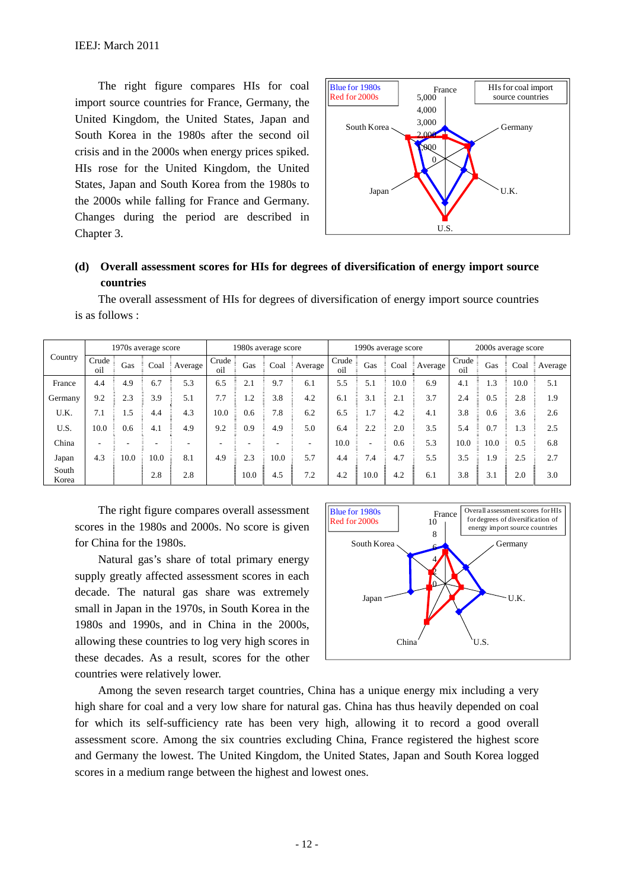The right figure compares HIs for coal import source countries for France, Germany, the United Kingdom, the United States, Japan and South Korea in the 1980s after the second oil crisis and in the 2000s when energy prices spiked. HIs rose for the United Kingdom, the United States, Japan and South Korea from the 1980s to the 2000s while falling for France and Germany. Changes during the period are described in Chapter 3.



# **(d) Overall assessment scores for HIs for degrees of diversification of energy import source countries**

The overall assessment of HIs for degrees of diversification of energy import source countries is as follows :

|                |               | 1970s average score |      |         |                            | 1980s average score |      |         |                            | 1990s average score      |      |         | 2000s average score |      |      |                |
|----------------|---------------|---------------------|------|---------|----------------------------|---------------------|------|---------|----------------------------|--------------------------|------|---------|---------------------|------|------|----------------|
| Country        | Crude:<br>oil | Gas                 | Coal | Average | Crude $\frac{1}{2}$<br>oil | Gas                 | Coal | Average | Crude $\frac{1}{2}$<br>oil | Gas                      | Coal | Average | Crude<br>oil        | Gas  | Coal | <b>Average</b> |
| France         | 4.4           | 4.9                 | 6.7  | 5.3     | 6.5                        | 2.1                 | 9.7  | 6.1     | 5.5                        | 5.1                      | 10.0 | 6.9     | 4.1                 | 1.3  | 10.0 | 5.1            |
| Germany        | 9.2           | 2.3                 | 3.9  | 5.1     | 7.7                        | 1.2                 | 3.8  | 4.2     | 6.1                        | 3.1                      | 2.1  | 3.7     | 2.4                 | 0.5  | 2.8  | 1.9            |
| U.K.           | 7.1           | 1.5                 | 4.4  | 4.3     | 10.0                       | 0.6                 | 7.8  | 6.2     | 6.5                        | 1.7                      | 4.2  | 4.1     | 3.8                 | 0.6  | 3.6  | 2.6            |
| U.S.           | 10.0          | 0.6                 | 4.1  | 4.9     | 9.2                        | 0.9                 | 4.9  | 5.0     | 6.4                        | 2.2                      | 2.0  | 3.5     | 5.4                 | 0.7  | 1.3  | 2.5            |
| China          |               |                     |      |         |                            |                     |      |         | 10.0                       | $\overline{\phantom{a}}$ | 0.6  | 5.3     | 10.0                | 10.0 | 0.5  | 6.8            |
| Japan          | 4.3           | 10.0                | 10.0 | 8.1     | 4.9                        | 2.3                 | 10.0 | 5.7     | 4.4                        | 7.4                      | 4.7  | 5.5     | 3.5                 | 1.9  | 2.5  | 2.7            |
| South<br>Korea |               |                     | 2.8  | 2.8     |                            | 10.0                | 4.5  | 7.2     | 4.2                        | 10.0                     | 4.2  | 6.1     | 3.8                 | 3.1  | 2.0  | 3.0            |

The right figure compares overall assessment scores in the 1980s and 2000s. No score is given for China for the 1980s.

Natural gas's share of total primary energy supply greatly affected assessment scores in each decade. The natural gas share was extremely small in Japan in the 1970s, in South Korea in the 1980s and 1990s, and in China in the 2000s, allowing these countries to log very high scores in these decades. As a result, scores for the other countries were relatively lower.



Among the seven research target countries, China has a unique energy mix including a very high share for coal and a very low share for natural gas. China has thus heavily depended on coal for which its self-sufficiency rate has been very high, allowing it to record a good overall assessment score. Among the six countries excluding China, France registered the highest score and Germany the lowest. The United Kingdom, the United States, Japan and South Korea logged scores in a medium range between the highest and lowest ones.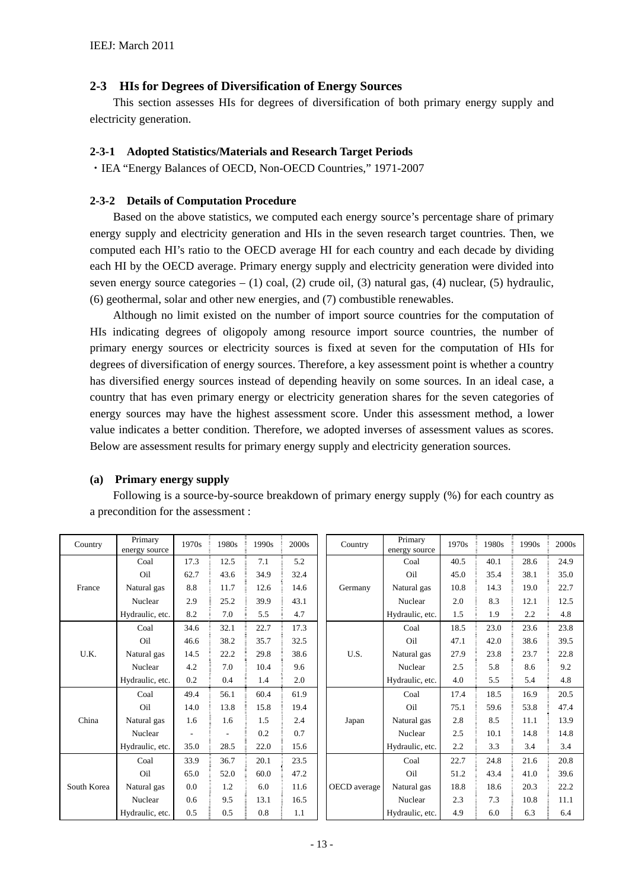### **2-3 HIs for Degrees of Diversification of Energy Sources**

This section assesses HIs for degrees of diversification of both primary energy supply and electricity generation.

#### **2-3-1 Adopted Statistics/Materials and Research Target Periods**

・IEA "Energy Balances of OECD, Non-OECD Countries," 1971-2007

#### **2-3-2 Details of Computation Procedure**

Based on the above statistics, we computed each energy source's percentage share of primary energy supply and electricity generation and HIs in the seven research target countries. Then, we computed each HI's ratio to the OECD average HI for each country and each decade by dividing each HI by the OECD average. Primary energy supply and electricity generation were divided into seven energy source categories  $- (1)$  coal, (2) crude oil, (3) natural gas, (4) nuclear, (5) hydraulic, (6) geothermal, solar and other new energies, and (7) combustible renewables.

Although no limit existed on the number of import source countries for the computation of HIs indicating degrees of oligopoly among resource import source countries, the number of primary energy sources or electricity sources is fixed at seven for the computation of HIs for degrees of diversification of energy sources. Therefore, a key assessment point is whether a country has diversified energy sources instead of depending heavily on some sources. In an ideal case, a country that has even primary energy or electricity generation shares for the seven categories of energy sources may have the highest assessment score. Under this assessment method, a lower value indicates a better condition. Therefore, we adopted inverses of assessment values as scores. Below are assessment results for primary energy supply and electricity generation sources.

#### **(a) Primary energy supply**

Following is a source-by-source breakdown of primary energy supply (%) for each country as a precondition for the assessment :

| Country     | Primary<br>energy source            | 1970s | 1980s | 1990s | 2000s | Country      | Primary<br>energy source | 1970s | 1980s | 1990s | 2000s |
|-------------|-------------------------------------|-------|-------|-------|-------|--------------|--------------------------|-------|-------|-------|-------|
|             | Coal                                | 17.3  | 12.5  | 7.1   | 5.2   |              | Coal                     | 40.5  | 40.1  | 28.6  | 24.9  |
|             | 43.6<br>34.9<br>32.4<br>Oil<br>62.7 |       |       | Oil   | 45.0  | 35.4         | 38.1                     | 35.0  |       |       |       |
| France      | Natural gas                         | 8.8   | 11.7  | 12.6  | 14.6  | Germany      | Natural gas              | 10.8  | 14.3  | 19.0  | 22.7  |
|             | Nuclear                             | 2.9   | 25.2  | 39.9  | 43.1  |              | Nuclear                  | 2.0   | 8.3   | 12.1  | 12.5  |
|             | Hydraulic, etc.                     | 8.2   | 7.0   | 5.5   | 4.7   |              | Hydraulic, etc.          | 1.5   | 1.9   | 2.2   | 4.8   |
|             | Coal                                | 34.6  | 32.1  | 22.7  | 17.3  |              | Coal                     | 18.5  | 23.0  | 23.6  | 23.8  |
|             | Oil                                 | 46.6  | 38.2  | 35.7  | 32.5  |              | Oil                      | 47.1  | 42.0  | 38.6  | 39.5  |
| U.K.        | Natural gas                         | 14.5  | 22.2  | 29.8  | 38.6  | U.S.         | Natural gas              | 27.9  | 23.8  | 23.7  | 22.8  |
|             | Nuclear                             | 4.2   | 7.0   | 10.4  | 9.6   |              | Nuclear                  | 2.5   | 5.8   | 8.6   | 9.2   |
|             | Hydraulic, etc.                     | 0.2   | 0.4   | 1.4   | 2.0   |              | Hydraulic, etc.          | 4.0   | 5.5   | 5.4   | 4.8   |
|             | Coal                                | 49.4  | 56.1  | 60.4  | 61.9  |              | Coal                     | 17.4  | 18.5  | 16.9  | 20.5  |
|             | Oil                                 | 14.0  | 13.8  | 15.8  | 19.4  |              | Oil                      | 75.1  | 59.6  | 53.8  | 47.4  |
| China       | Natural gas                         | 1.6   | 1.6   | 1.5   | 2.4   | Japan        | Natural gas              | 2.8   | 8.5   | 11.1  | 13.9  |
|             | Nuclear                             |       |       | 0.2   | 0.7   |              | Nuclear                  | 2.5   | 10.1  | 14.8  | 14.8  |
|             | Hydraulic, etc.                     | 35.0  | 28.5  | 22.0  | 15.6  |              | Hydraulic, etc.          | 2.2   | 3.3   | 3.4   | 3.4   |
|             | Coal                                | 33.9  | 36.7  | 20.1  | 23.5  |              | Coal                     | 22.7  | 24.8  | 21.6  | 20.8  |
|             | Oil                                 | 65.0  | 52.0  | 60.0  | 47.2  |              | Oil                      | 51.2  | 43.4  | 41.0  | 39.6  |
| South Korea | Natural gas                         | 0.0   | 1.2   | 6.0   | 11.6  | OECD average | Natural gas              | 18.8  | 18.6  | 20.3  | 22.2  |
|             | Nuclear                             | 0.6   | 9.5   | 13.1  | 16.5  |              | Nuclear                  | 2.3   | 7.3   | 10.8  | 11.1  |
|             | Hydraulic, etc.                     | 0.5   | 0.5   | 0.8   | 1.1   |              | Hydraulic, etc.          | 4.9   | 6.0   | 6.3   | 6.4   |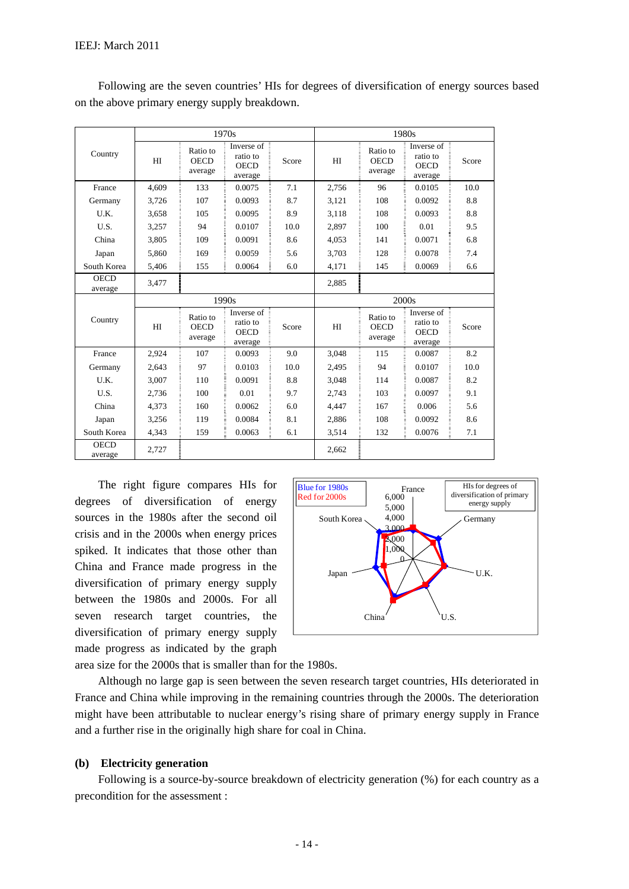|                        |       |                                    | 1970s                                            |       | 1980s |                                    |                                                                 |       |  |
|------------------------|-------|------------------------------------|--------------------------------------------------|-------|-------|------------------------------------|-----------------------------------------------------------------|-------|--|
| Country                | HI    | Ratio to<br><b>OECD</b><br>average | Inverse of<br>ratio to<br><b>OECD</b><br>average | Score | HI    | Ratio to<br><b>OECD</b><br>average | Inverse of $\bar{z}$<br>ratio to<br><b>OECD</b><br>average      | Score |  |
| France                 | 4.609 | 133                                | 0.0075                                           | 7.1   | 2.756 | 96                                 | 0.0105                                                          | 10.0  |  |
| Germany                | 3,726 | 107                                | 0.0093                                           | 8.7   | 3,121 | 108                                | 0.0092                                                          | 8.8   |  |
| U.K.                   | 3,658 | 105                                | 0.0095                                           | 8.9   | 3,118 | 108                                | 0.0093                                                          | 8.8   |  |
| U.S.                   | 3,257 | 94                                 | 0.0107                                           | 10.0  | 2,897 | 100                                | 0.01                                                            | 9.5   |  |
| China                  | 3,805 | 109                                | 0.0091                                           | 8.6   | 4,053 | 141                                | 0.0071                                                          | 6.8   |  |
| Japan                  | 5,860 | 169                                | 0.0059                                           | 5.6   | 3,703 | 128                                | 0.0078                                                          | 7.4   |  |
| South Korea            | 5,406 | 155                                | 0.0064                                           | 6.0   | 4,171 | 145                                | 0.0069                                                          | 6.6   |  |
| <b>OECD</b><br>average | 3,477 |                                    |                                                  |       | 2,885 |                                    |                                                                 |       |  |
|                        |       |                                    | 1990s                                            |       |       | 2000 <sub>s</sub>                  |                                                                 |       |  |
| Country                | HI    | Ratio to<br><b>OECD</b><br>average | Inverse of<br>ratio to<br><b>OECD</b><br>average | Score | HI    | Ratio to<br><b>OECD</b><br>average | Inverse of $\overline{z}$<br>ratio to<br><b>OECD</b><br>average | Score |  |
| France                 | 2,924 | 107                                | 0.0093                                           | 9.0   |       |                                    |                                                                 | 8.2   |  |
| Germany                |       |                                    |                                                  |       | 3,048 | 115                                | 0.0087                                                          |       |  |
|                        | 2.643 | 97                                 | 0.0103                                           | 10.0  | 2.495 | 94                                 | 0.0107                                                          | 10.0  |  |
| U.K.                   | 3,007 | 110                                | 0.0091                                           | 8.8   | 3,048 | 114                                | 0.0087                                                          | 8.2   |  |
| U.S.                   | 2.736 | 100                                | 0.01                                             | 9.7   | 2.743 | 103                                | 0.0097                                                          | 9.1   |  |
| China                  | 4,373 | 160                                | 0.0062                                           | 6.0   | 4.447 | 167                                | 0.006                                                           | 5.6   |  |
| Japan                  | 3,256 | 119                                | 0.0084                                           | 8.1   | 2,886 | 108                                | 0.0092                                                          | 8.6   |  |
| South Korea            | 4,343 | 159                                | 0.0063                                           | 6.1   | 3,514 | 132                                | 0.0076                                                          | 7.1   |  |

Following are the seven countries' HIs for degrees of diversification of energy sources based on the above primary energy supply breakdown.

The right figure compares HIs for degrees of diversification of energy sources in the 1980s after the second oil crisis and in the 2000s when energy prices spiked. It indicates that those other than China and France made progress in the diversification of primary energy supply between the 1980s and 2000s. For all seven research target countries, the diversification of primary energy supply made progress as indicated by the graph



area size for the 2000s that is smaller than for the 1980s.

Although no large gap is seen between the seven research target countries, HIs deteriorated in France and China while improving in the remaining countries through the 2000s. The deterioration might have been attributable to nuclear energy's rising share of primary energy supply in France and a further rise in the originally high share for coal in China.

#### **(b) Electricity generation**

Following is a source-by-source breakdown of electricity generation  $(\%)$  for each country as a precondition for the assessment :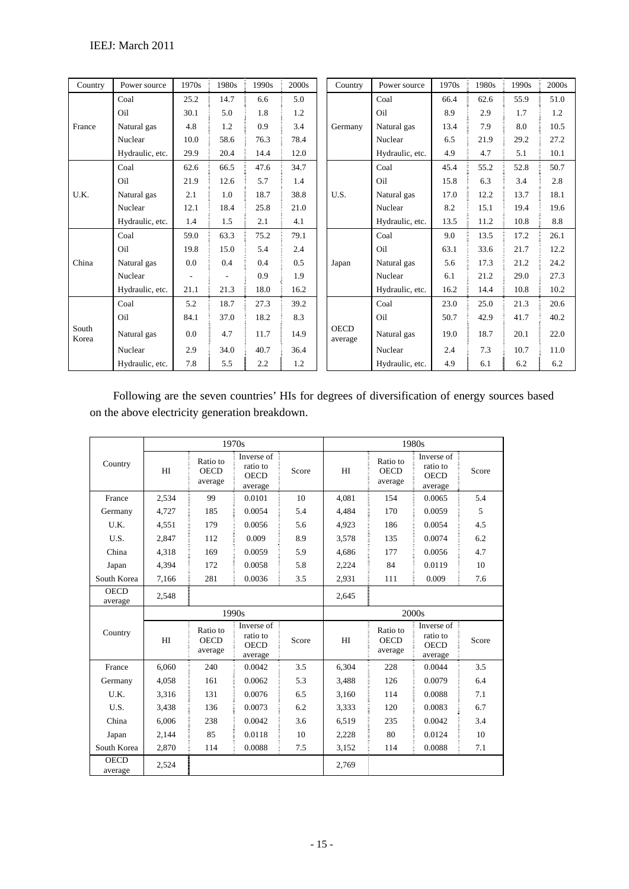| Country        | Power source    | 1970s          | 1980s                    | 1990s | 2000s | Country                | Power source    | 1970s | 1980s | 1990s | 2000 <sub>s</sub> |
|----------------|-----------------|----------------|--------------------------|-------|-------|------------------------|-----------------|-------|-------|-------|-------------------|
|                | Coal            | 25.2           | 14.7                     | 6.6   | 5.0   |                        | Coal            | 66.4  | 62.6  | 55.9  | 51.0              |
|                | Oil             | 30.1           | 5.0                      | 1.8   | 1.2   |                        | Oil             | 8.9   | 2.9   | 1.7   | 1.2               |
| France         | Natural gas     | 4.8            | 1.2                      | 0.9   | 3.4   | Germany                | Natural gas     | 13.4  | 7.9   | 8.0   | 10.5              |
|                | Nuclear         | 10.0           | 58.6                     | 76.3  | 78.4  |                        | Nuclear         | 6.5   | 21.9  | 29.2  | 27.2              |
|                | Hydraulic, etc. | 29.9           | 20.4                     | 14.4  | 12.0  |                        | Hydraulic, etc. | 4.9   | 4.7   | 5.1   | 10.1              |
|                | Coal            | 62.6           | 66.5                     | 47.6  | 34.7  |                        | Coal            | 45.4  | 55.2  | 52.8  | 50.7              |
|                | Oil             | 21.9           | 12.6                     | 5.7   | 1.4   |                        | Oil             | 15.8  | 6.3   | 3.4   | 2.8               |
| U.K.           | Natural gas     | 2.1            | 1.0                      | 18.7  | 38.8  | U.S.                   | Natural gas     | 17.0  | 12.2  | 13.7  | 18.1              |
|                | Nuclear         | 12.1           | 18.4                     | 25.8  | 21.0  |                        | Nuclear         | 8.2   | 15.1  | 19.4  | 19.6              |
|                | Hydraulic, etc. | 1.4            | 1.5                      | 2.1   | 4.1   |                        | Hydraulic, etc. | 13.5  | 11.2  | 10.8  | 8.8               |
|                | Coal            | 59.0           | 63.3                     | 75.2  | 79.1  |                        | Coal            | 9.0   | 13.5  | 17.2  | 26.1              |
|                | Oil             | 19.8           | 15.0                     | 5.4   | 2.4   |                        | Oil             | 63.1  | 33.6  | 21.7  | 12.2              |
| China          | Natural gas     | 0.0            | 0.4                      | 0.4   | 0.5   | Japan                  | Natural gas     | 5.6   | 17.3  | 21.2  | 24.2              |
|                | Nuclear         | $\overline{a}$ | $\overline{\phantom{a}}$ | 0.9   | 1.9   |                        | Nuclear         | 6.1   | 21.2  | 29.0  | 27.3              |
|                | Hydraulic, etc. | 21.1           | 21.3                     | 18.0  | 16.2  |                        | Hydraulic, etc. | 16.2  | 14.4  | 10.8  | 10.2              |
|                | Coal            | 5.2            | 18.7                     | 27.3  | 39.2  |                        | Coal            | 23.0  | 25.0  | 21.3  | 20.6              |
|                | Oil             | 84.1           | 37.0                     | 18.2  | 8.3   |                        | Oil             | 50.7  | 42.9  | 41.7  | 40.2              |
| South<br>Korea | Natural gas     | 0.0            | 4.7                      | 11.7  | 14.9  | <b>OECD</b><br>average | Natural gas     | 19.0  | 18.7  | 20.1  | 22.0              |
|                | Nuclear         | 2.9            | 34.0                     | 40.7  | 36.4  |                        | Nuclear         | 2.4   | 7.3   | 10.7  | 11.0              |
|                | Hydraulic, etc. | 7.8            | 5.5                      | 2.2   | 1.2   |                        | Hydraulic, etc. | 4.9   | 6.1   | 6.2   | 6.2               |

Following are the seven countries' HIs for degrees of diversification of energy sources based on the above electricity generation breakdown.

|                        |       |                                    | 1970s                                            |       | 1980s          |                                    |                                                                 |       |  |
|------------------------|-------|------------------------------------|--------------------------------------------------|-------|----------------|------------------------------------|-----------------------------------------------------------------|-------|--|
| Country                | HI    | Ratio to<br><b>OECD</b><br>average | Inverse of<br>ratio to<br><b>OECD</b><br>average | Score | H <sub>I</sub> | Ratio to<br><b>OECD</b><br>average | Inverse of $\frac{1}{2}$<br>ratio to<br><b>OECD</b><br>average  | Score |  |
| France                 | 2,534 | 99                                 | 0.0101                                           | 10    | 4,081          | 154                                | 0.0065                                                          | 5.4   |  |
| Germany                | 4,727 | 185                                | 0.0054                                           | 5.4   | 4,484          | 170                                | 0.0059                                                          | 5     |  |
| U.K.                   | 4.551 | 179                                | 0.0056                                           | 5.6   | 4.923          | 186                                | 0.0054                                                          | 4.5   |  |
| U.S.                   | 2,847 | 112                                | 0.009                                            | 8.9   | 3,578          | 135                                | 0.0074                                                          | 6.2   |  |
| China                  | 4,318 | 169                                | 0.0059                                           | 5.9   | 4.686          | 177                                | 0.0056                                                          | 4.7   |  |
| Japan                  | 4,394 | 172                                | 0.0058                                           | 5.8   | 2,224          | 84                                 | 0.0119                                                          | 10    |  |
| South Korea            | 7,166 | 281                                | 0.0036                                           | 3.5   | 2,931          | 111                                | 0.009                                                           | 7.6   |  |
| <b>OECD</b><br>average | 2,548 |                                    |                                                  |       | 2,645          |                                    |                                                                 |       |  |
|                        |       |                                    | 1990s                                            |       |                |                                    | 2000s                                                           |       |  |
| Country                | HI    | Ratio to<br><b>OECD</b><br>average | Inverse of<br>ratio to<br><b>OECD</b><br>average | Score | H <sub>I</sub> | Ratio to<br><b>OECD</b><br>average | Inverse of $\overline{a}$<br>ratio to<br><b>OECD</b><br>average | Score |  |
| France                 | 6.060 | 240                                | 0.0042                                           | 3.5   | 6.304          | 228                                | 0.0044                                                          | 3.5   |  |
| Germany                | 4,058 | 161                                | 0.0062                                           | 5.3   | 3.488          | 126                                | 0.0079                                                          | 6.4   |  |
| U.K.                   | 3.316 | 131                                | 0.0076                                           | 6.5   | 3.160          | 114                                | 0.0088                                                          | 7.1   |  |
| U.S.                   | 3.438 | 136                                | 0.0073                                           | 6.2   | 3.333          | 120                                | 0.0083                                                          | 6.7   |  |
| China                  | 6.006 | 238                                | 0.0042                                           | 3.6   | 6,519          | 235                                | 0.0042                                                          | 3.4   |  |
| Japan                  | 2,144 | 85                                 | 0.0118                                           | 10    | 2,228          | 80                                 | 0.0124                                                          | 10    |  |
| South Korea            | 2,870 | 114                                | 0.0088                                           | 7.5   | 3,152          | 114                                | 0.0088                                                          | 7.1   |  |
| <b>OECD</b><br>average | 2,524 |                                    |                                                  |       | 2,769          |                                    |                                                                 |       |  |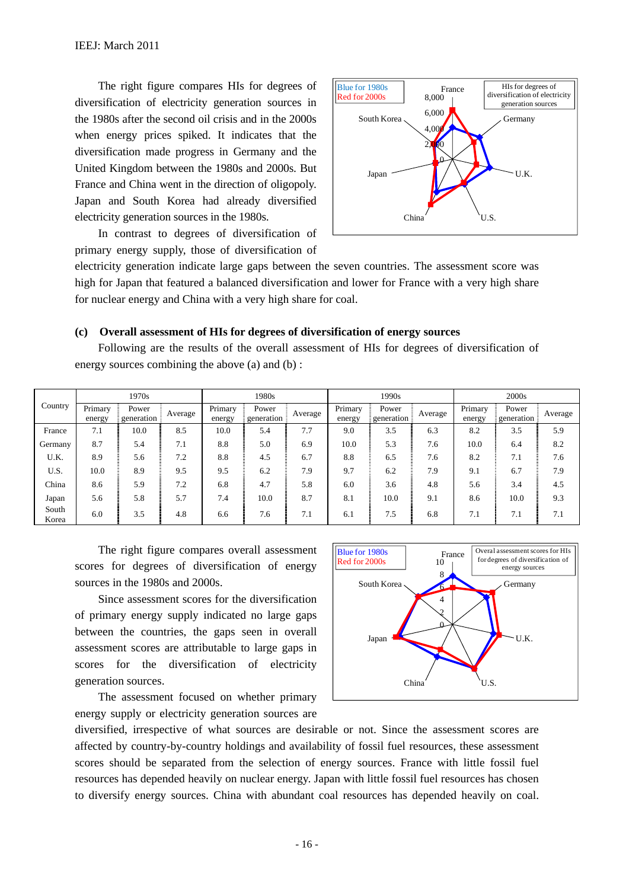The right figure compares HIs for degrees of diversification of electricity generation sources in the 1980s after the second oil crisis and in the 2000s when energy prices spiked. It indicates that the diversification made progress in Germany and the United Kingdom between the 1980s and 2000s. But France and China went in the direction of oligopoly. Japan and South Korea had already diversified electricity generation sources in the 1980s.

In contrast to degrees of diversification of primary energy supply, those of diversification of



electricity generation indicate large gaps between the seven countries. The assessment score was high for Japan that featured a balanced diversification and lower for France with a very high share for nuclear energy and China with a very high share for coal.

#### **(c) Overall assessment of HIs for degrees of diversification of energy sources**

Following are the results of the overall assessment of HIs for degrees of diversification of energy sources combining the above (a) and (b) :

|                |                   | 1970s                |         |                   | 1980s                |         |                   | 1990s                |         | 2000 <sub>s</sub> |                     |         |  |
|----------------|-------------------|----------------------|---------|-------------------|----------------------|---------|-------------------|----------------------|---------|-------------------|---------------------|---------|--|
| Country        | Primary<br>energy | Power<br>generation: | Average | Primary<br>energy | Power<br>generation: | Average | Primary<br>energy | Power<br>generation: | Average | Primary<br>energy | Power<br>generation | Average |  |
| France         | 7.1               | 10.0                 | 8.5     | 10.0              | 5.4                  | 7.7     | 9.0               | 3.5                  | 6.3     | 8.2               | 3.5                 | 5.9     |  |
| Germany        | 8.7               | 5.4                  | 7.1     | 8.8               | 5.0                  | 6.9     | 10.0              | 5.3                  | 7.6     | 10.0              | 6.4                 | 8.2     |  |
| U.K.           | 8.9               | 5.6                  | 7.2     | 8.8               | 4.5                  | 6.7     | 8.8               | 6.5                  | 7.6     | 8.2               | 7.1                 | 7.6     |  |
| U.S.           | 10.0              | 8.9                  | 9.5     | 9.5               | 6.2                  | 7.9     | 9.7               | 6.2                  | 7.9     | 9.1               | 6.7                 | 7.9     |  |
| China          | 8.6               | 5.9                  | 7.2     | 6.8               | 4.7                  | 5.8     | 6.0               | 3.6                  | 4.8     | 5.6               | 3.4                 | 4.5     |  |
| Japan          | 5.6               | 5.8                  | 5.7     | 7.4               | 10.0                 | 8.7     | 8.1               | 10.0                 | 9.1     | 8.6               | 10.0                | 9.3     |  |
| South<br>Korea | 6.0               | 3.5                  | 4.8     | 6.6               | 7.6                  | 7.1     | 6.1               | 7.5                  | 6.8     | 7.1               | 7.1                 | 7.1     |  |

The right figure compares overall assessment scores for degrees of diversification of energy sources in the 1980s and 2000s.

Since assessment scores for the diversification of primary energy supply indicated no large gaps between the countries, the gaps seen in overall assessment scores are attributable to large gaps in scores for the diversification of electricity generation sources.

The assessment focused on whether primary energy supply or electricity generation sources are



diversified, irrespective of what sources are desirable or not. Since the assessment scores are affected by country-by-country holdings and availability of fossil fuel resources, these assessment scores should be separated from the selection of energy sources. France with little fossil fuel resources has depended heavily on nuclear energy. Japan with little fossil fuel resources has chosen to diversify energy sources. China with abundant coal resources has depended heavily on coal.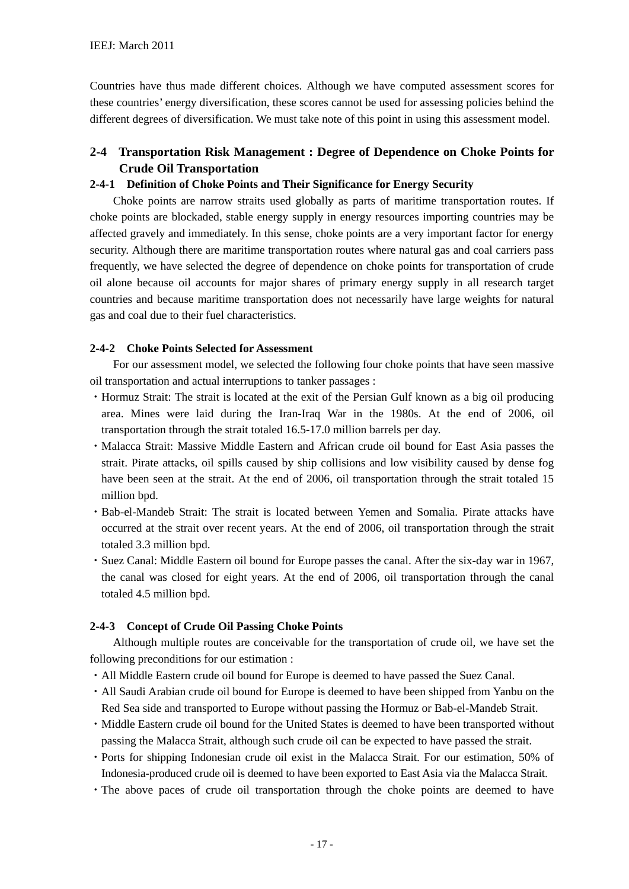Countries have thus made different choices. Although we have computed assessment scores for these countries' energy diversification, these scores cannot be used for assessing policies behind the different degrees of diversification. We must take note of this point in using this assessment model.

# **2-4 Transportation Risk Management : Degree of Dependence on Choke Points for Crude Oil Transportation**

#### **2-4-1 Definition of Choke Points and Their Significance for Energy Security**

Choke points are narrow straits used globally as parts of maritime transportation routes. If choke points are blockaded, stable energy supply in energy resources importing countries may be affected gravely and immediately. In this sense, choke points are a very important factor for energy security. Although there are maritime transportation routes where natural gas and coal carriers pass frequently, we have selected the degree of dependence on choke points for transportation of crude oil alone because oil accounts for major shares of primary energy supply in all research target countries and because maritime transportation does not necessarily have large weights for natural gas and coal due to their fuel characteristics.

#### **2-4-2 Choke Points Selected for Assessment**

For our assessment model, we selected the following four choke points that have seen massive oil transportation and actual interruptions to tanker passages :

- ・Hormuz Strait: The strait is located at the exit of the Persian Gulf known as a big oil producing area. Mines were laid during the Iran-Iraq War in the 1980s. At the end of 2006, oil transportation through the strait totaled 16.5-17.0 million barrels per day.
- ・Malacca Strait: Massive Middle Eastern and African crude oil bound for East Asia passes the strait. Pirate attacks, oil spills caused by ship collisions and low visibility caused by dense fog have been seen at the strait. At the end of 2006, oil transportation through the strait totaled 15 million bpd.
- ・Bab-el-Mandeb Strait: The strait is located between Yemen and Somalia. Pirate attacks have occurred at the strait over recent years. At the end of 2006, oil transportation through the strait totaled 3.3 million bpd.
- ・Suez Canal: Middle Eastern oil bound for Europe passes the canal. After the six-day war in 1967, the canal was closed for eight years. At the end of 2006, oil transportation through the canal totaled 4.5 million bpd.

#### **2-4-3 Concept of Crude Oil Passing Choke Points**

Although multiple routes are conceivable for the transportation of crude oil, we have set the following preconditions for our estimation :

- ・All Middle Eastern crude oil bound for Europe is deemed to have passed the Suez Canal.
- ・All Saudi Arabian crude oil bound for Europe is deemed to have been shipped from Yanbu on the Red Sea side and transported to Europe without passing the Hormuz or Bab-el-Mandeb Strait.
- ・Middle Eastern crude oil bound for the United States is deemed to have been transported without passing the Malacca Strait, although such crude oil can be expected to have passed the strait.
- ・Ports for shipping Indonesian crude oil exist in the Malacca Strait. For our estimation, 50% of Indonesia-produced crude oil is deemed to have been exported to East Asia via the Malacca Strait.
- ・The above paces of crude oil transportation through the choke points are deemed to have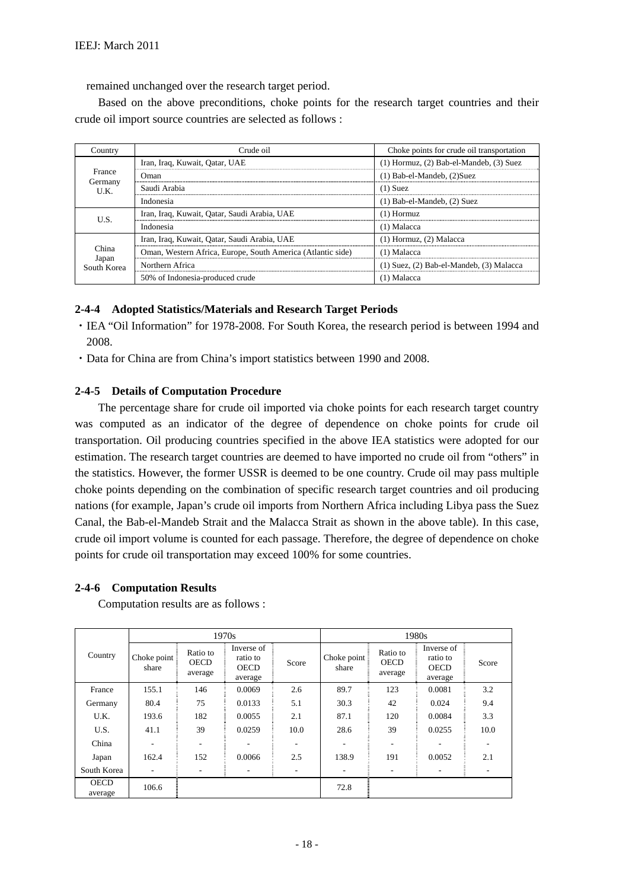remained unchanged over the research target period.

Based on the above preconditions, choke points for the research target countries and their crude oil import source countries are selected as follows :

| Country              | Crude oil                                                   | Choke points for crude oil transportation      |
|----------------------|-------------------------------------------------------------|------------------------------------------------|
|                      | Iran, Iraq, Kuwait, Qatar, UAE                              | $(1)$ Hormuz, $(2)$ Bab-el-Mandeb, $(3)$ Suez  |
| France               | Oman                                                        | $(1)$ Bab-el-Mandeb, $(2)$ Suez                |
| Germany<br>U.K.      | Saudi Arabia                                                | $(1)$ Suez                                     |
|                      | Indonesia                                                   | $(1)$ Bab-el-Mandeb, $(2)$ Suez                |
| U.S.                 | Iran, Iraq, Kuwait, Qatar, Saudi Arabia, UAE                | $(1)$ Hormuz                                   |
|                      | Indonesia                                                   | $(1)$ Malacca                                  |
|                      | Iran, Iraq, Kuwait, Qatar, Saudi Arabia, UAE                | $(1)$ Hormuz, $(2)$ Malacca                    |
| China                | Oman, Western Africa, Europe, South America (Atlantic side) | $(1)$ Malacca                                  |
| Japan<br>South Korea | Northern Africa                                             | $(1)$ Suez, $(2)$ Bab-el-Mandeb, $(3)$ Malacca |
|                      | 50% of Indonesia-produced crude                             | (1) Malacca                                    |

#### **2-4-4 Adopted Statistics/Materials and Research Target Periods**

- ・IEA "Oil Information" for 1978-2008. For South Korea, the research period is between 1994 and 2008.
- ・Data for China are from China's import statistics between 1990 and 2008.

#### **2-4-5 Details of Computation Procedure**

The percentage share for crude oil imported via choke points for each research target country was computed as an indicator of the degree of dependence on choke points for crude oil transportation. Oil producing countries specified in the above IEA statistics were adopted for our estimation. The research target countries are deemed to have imported no crude oil from "others" in the statistics. However, the former USSR is deemed to be one country. Crude oil may pass multiple choke points depending on the combination of specific research target countries and oil producing nations (for example, Japan's crude oil imports from Northern Africa including Libya pass the Suez Canal, the Bab-el-Mandeb Strait and the Malacca Strait as shown in the above table). In this case, crude oil import volume is counted for each passage. Therefore, the degree of dependence on choke points for crude oil transportation may exceed 100% for some countries.

#### **2-4-6 Computation Results**

Computation results are as follows :

|                        |                      |                                    | 1970s                                            |                          |                      |                                    | 1980s                                            |       |
|------------------------|----------------------|------------------------------------|--------------------------------------------------|--------------------------|----------------------|------------------------------------|--------------------------------------------------|-------|
| Country                | Choke point<br>share | Ratio to<br><b>OECD</b><br>average | Inverse of<br>ratio to<br><b>OECD</b><br>average | Score                    | Choke point<br>share | Ratio to<br><b>OECD</b><br>average | Inverse of<br>ratio to<br><b>OECD</b><br>average | Score |
| France                 | 155.1                | 146                                | 0.0069                                           | 2.6                      | 89.7                 | 123                                | 0.0081                                           | 3.2   |
| Germany                | 80.4                 | 75                                 | 0.0133                                           | 5.1                      | 30.3                 | 42                                 | 0.024                                            | 9.4   |
| U.K.                   | 193.6                | 182                                | 0.0055                                           | 2.1                      | 87.1                 | 120                                | 0.0084                                           | 3.3   |
| U.S.                   | 41.1                 | 39                                 | 0.0259                                           | 10.0                     | 28.6                 | 39                                 | 0.0255                                           | 10.0  |
| China                  |                      | $\overline{\phantom{a}}$           |                                                  | $\overline{\phantom{0}}$ |                      | ٠                                  |                                                  |       |
| Japan                  | 162.4                | 152                                | 0.0066                                           | 2.5                      | 138.9                | 191                                | 0.0052                                           | 2.1   |
| South Korea            | ٠                    | ٠                                  |                                                  | ۰.                       | ٠                    | ٠                                  |                                                  |       |
| <b>OECD</b><br>average | 106.6                |                                    |                                                  |                          | 72.8                 |                                    |                                                  |       |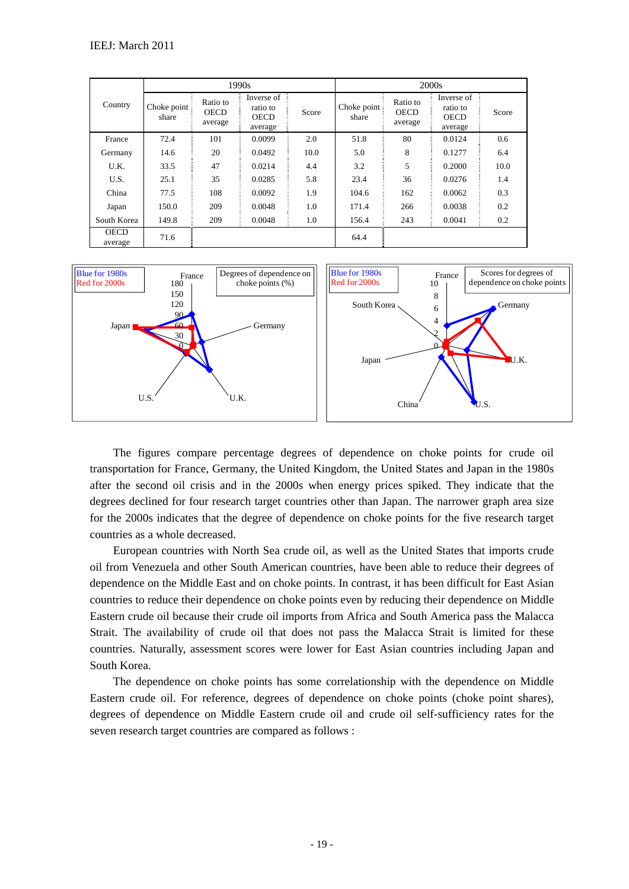|                        |                      |                                    | 1990s                                            |       |                      |                                    | 2000s                                            |       |
|------------------------|----------------------|------------------------------------|--------------------------------------------------|-------|----------------------|------------------------------------|--------------------------------------------------|-------|
| Country                | Choke point<br>share | Ratio to<br><b>OECD</b><br>average | Inverse of<br>ratio to<br><b>OECD</b><br>average | Score | Choke point<br>share | Ratio to<br><b>OECD</b><br>average | Inverse of<br>ratio to<br><b>OECD</b><br>average | Score |
| France                 | 72.4                 | 101                                | 0.0099                                           | 2.0   | 51.8                 | 80                                 | 0.0124                                           | 0.6   |
| Germany                | 14.6                 | 20                                 | 0.0492                                           | 10.0  | 5.0                  | 8                                  | 0.1277                                           | 6.4   |
| U.K.                   | 33.5                 | 47                                 | 0.0214                                           | 4.4   | 3.2                  | 5                                  | 0.2000                                           | 10.0  |
| U.S.                   | 25.1                 | 35                                 | 0.0285                                           | 5.8   | 23.4                 | 36                                 | 0.0276                                           | 1.4   |
| China                  | 77.5                 | 108                                | 0.0092                                           | 1.9   | 104.6                | 162                                | 0.0062                                           | 0.3   |
| Japan                  | 150.0                | 209                                | 0.0048                                           | 1.0   | 171.4                | 266                                | 0.0038                                           | 0.2   |
| South Korea            | 149.8                | 209                                | 0.0048                                           | 1.0   | 156.4                | 243                                | 0.0041                                           | 0.2   |
| <b>OECD</b><br>average | 71.6                 |                                    |                                                  |       | 64.4                 |                                    |                                                  |       |



The figures compare percentage degrees of dependence on choke points for crude oil transportation for France, Germany, the United Kingdom, the United States and Japan in the 1980s after the second oil crisis and in the 2000s when energy prices spiked. They indicate that the degrees declined for four research target countries other than Japan. The narrower graph area size for the 2000s indicates that the degree of dependence on choke points for the five research target countries as a whole decreased.

European countries with North Sea crude oil, as well as the United States that imports crude oil from Venezuela and other South American countries, have been able to reduce their degrees of dependence on the Middle East and on choke points. In contrast, it has been difficult for East Asian countries to reduce their dependence on choke points even by reducing their dependence on Middle Eastern crude oil because their crude oil imports from Africa and South America pass the Malacca Strait. The availability of crude oil that does not pass the Malacca Strait is limited for these countries. Naturally, assessment scores were lower for East Asian countries including Japan and South Korea.

The dependence on choke points has some correlationship with the dependence on Middle Eastern crude oil. For reference, degrees of dependence on choke points (choke point shares), degrees of dependence on Middle Eastern crude oil and crude oil self-sufficiency rates for the seven research target countries are compared as follows :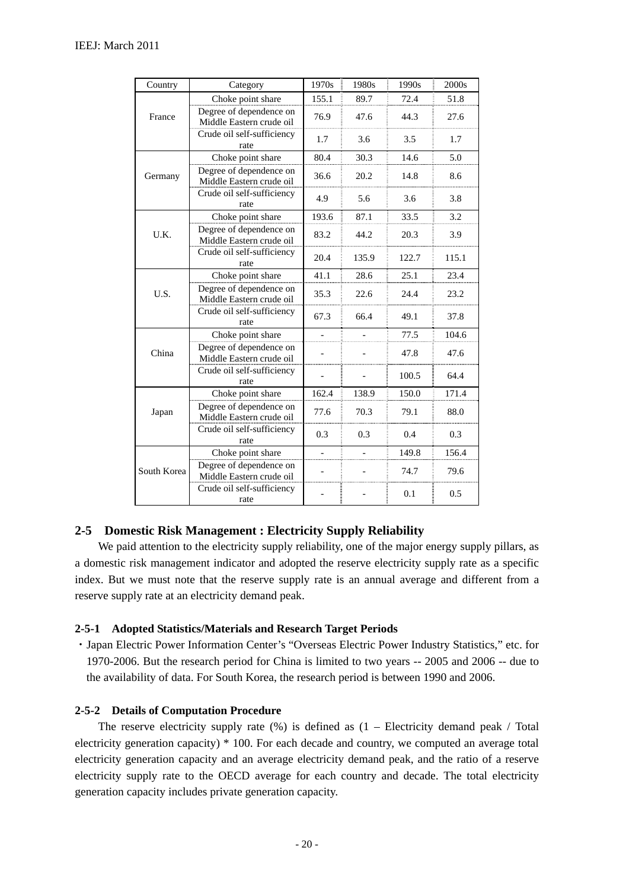| Country     | Category                                            | 1970s | 1980s | 1990s | 2000s |
|-------------|-----------------------------------------------------|-------|-------|-------|-------|
|             | Choke point share                                   | 155.1 | 89.7  | 72.4  | 51.8  |
| France      | Degree of dependence on<br>Middle Eastern crude oil | 76.9  | 47.6  | 44.3  | 27.6  |
|             | Crude oil self-sufficiency<br>rate                  | 1.7   | 3.6   | 3.5   | 1.7   |
|             | Choke point share                                   | 80.4  | 30.3  | 14.6  | 5.0   |
| Germany     | Degree of dependence on<br>Middle Eastern crude oil | 36.6  | 20.2  | 14.8  | 8.6   |
|             | Crude oil self-sufficiency<br>rate                  | 4.9   | 5.6   | 3.6   | 3.8   |
|             | Choke point share                                   | 193.6 | 87.1  | 33.5  | 3.2   |
| U.K.        | Degree of dependence on<br>Middle Eastern crude oil | 83.2  | 44.2  | 20.3  | 3.9   |
|             | Crude oil self-sufficiency<br>rate                  | 20.4  | 135.9 | 122.7 | 115.1 |
|             | Choke point share                                   | 41.1  | 28.6  | 25.1  | 23.4  |
| U.S.        | Degree of dependence on<br>Middle Eastern crude oil | 35.3  | 22.6  | 24.4  | 23.2  |
|             | Crude oil self-sufficiency<br>rate                  | 67.3  | 66.4  | 49.1  | 37.8  |
|             | Choke point share                                   |       |       | 77.5  | 104.6 |
| China       | Degree of dependence on<br>Middle Eastern crude oil |       |       | 47.8  | 47.6  |
|             | Crude oil self-sufficiency<br>rate                  |       |       | 100.5 | 64.4  |
|             | Choke point share                                   | 162.4 | 138.9 | 150.0 | 171.4 |
| Japan       | Degree of dependence on<br>Middle Eastern crude oil | 77.6  | 70.3  | 79.1  | 88.0  |
|             | Crude oil self-sufficiency<br>rate                  | 0.3   | 0.3   | 0.4   | 0.3   |
|             | Choke point share                                   |       |       | 149.8 | 156.4 |
| South Korea | Degree of dependence on<br>Middle Eastern crude oil |       |       | 74.7  | 79.6  |
|             | Crude oil self-sufficiency<br>rate                  |       |       | 0.1   | 0.5   |

#### **2-5 Domestic Risk Management : Electricity Supply Reliability**

We paid attention to the electricity supply reliability, one of the major energy supply pillars, as a domestic risk management indicator and adopted the reserve electricity supply rate as a specific index. But we must note that the reserve supply rate is an annual average and different from a reserve supply rate at an electricity demand peak.

#### **2-5-1 Adopted Statistics/Materials and Research Target Periods**

・Japan Electric Power Information Center's "Overseas Electric Power Industry Statistics," etc. for 1970-2006. But the research period for China is limited to two years -- 2005 and 2006 -- due to the availability of data. For South Korea, the research period is between 1990 and 2006.

#### **2-5-2 Details of Computation Procedure**

The reserve electricity supply rate  $(\%)$  is defined as  $(1 -$  Electricity demand peak / Total electricity generation capacity) \* 100. For each decade and country, we computed an average total electricity generation capacity and an average electricity demand peak, and the ratio of a reserve electricity supply rate to the OECD average for each country and decade. The total electricity generation capacity includes private generation capacity.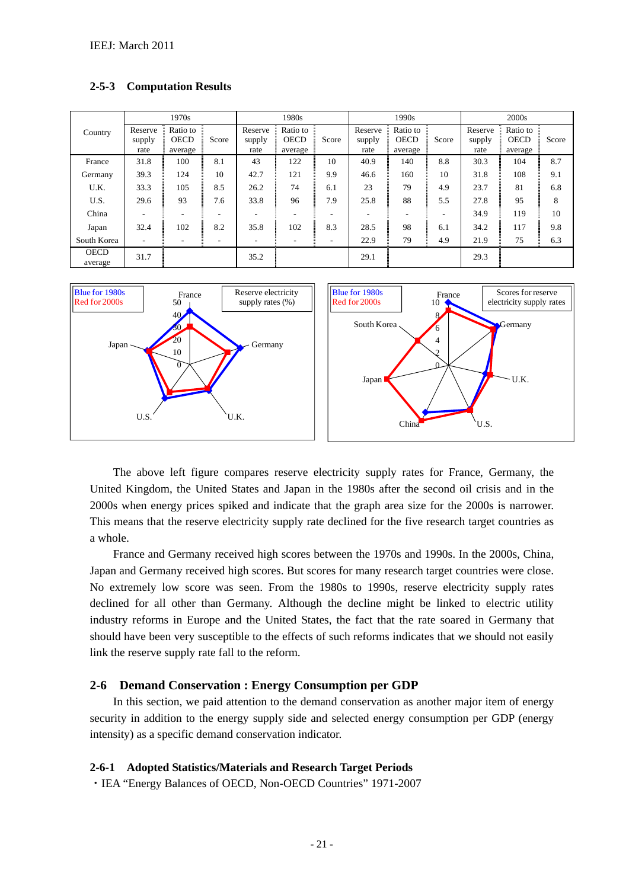**2-5-3 Computation Results** 





The above left figure compares reserve electricity supply rates for France, Germany, the United Kingdom, the United States and Japan in the 1980s after the second oil crisis and in the 2000s when energy prices spiked and indicate that the graph area size for the 2000s is narrower. This means that the reserve electricity supply rate declined for the five research target countries as a whole.

France and Germany received high scores between the 1970s and 1990s. In the 2000s, China, Japan and Germany received high scores. But scores for many research target countries were close. No extremely low score was seen. From the 1980s to 1990s, reserve electricity supply rates declined for all other than Germany. Although the decline might be linked to electric utility industry reforms in Europe and the United States, the fact that the rate soared in Germany that should have been very susceptible to the effects of such reforms indicates that we should not easily link the reserve supply rate fall to the reform.

#### **2-6 Demand Conservation : Energy Consumption per GDP**

In this section, we paid attention to the demand conservation as another major item of energy security in addition to the energy supply side and selected energy consumption per GDP (energy intensity) as a specific demand conservation indicator.

#### **2-6-1 Adopted Statistics/Materials and Research Target Periods**

・IEA "Energy Balances of OECD, Non-OECD Countries" 1971-2007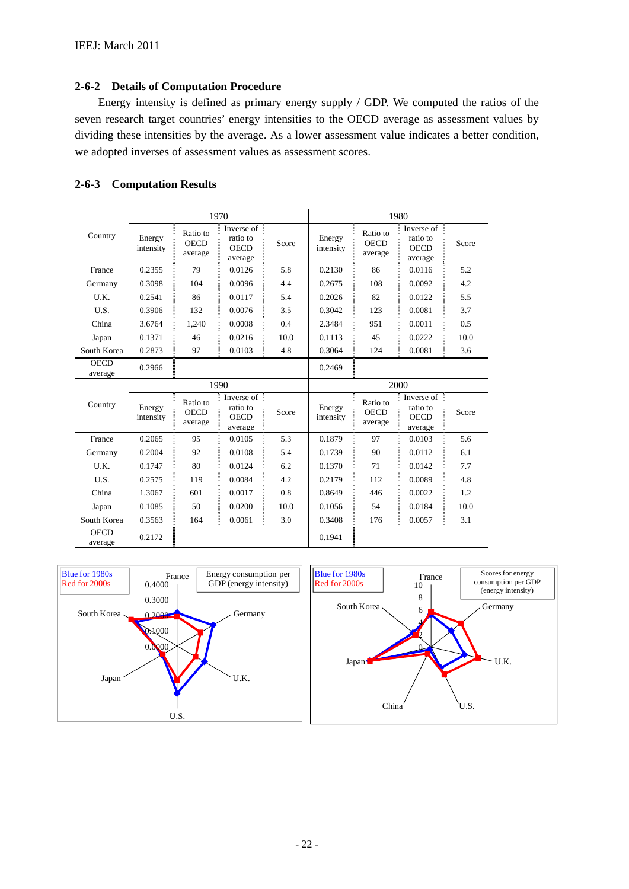#### **2-6-2 Details of Computation Procedure**

Energy intensity is defined as primary energy supply / GDP. We computed the ratios of the seven research target countries' energy intensities to the OECD average as assessment values by dividing these intensities by the average. As a lower assessment value indicates a better condition, we adopted inverses of assessment values as assessment scores.

### **2-6-3 Computation Results**

|                        |                     |                                    | 1970                                             |       |                     |                                    | 1980                                                       |       |
|------------------------|---------------------|------------------------------------|--------------------------------------------------|-------|---------------------|------------------------------------|------------------------------------------------------------|-------|
| Country                | Energy<br>intensity | Ratio to<br><b>OECD</b><br>average | Inverse of<br>ratio to<br><b>OECD</b><br>average | Score | Energy<br>intensity | Ratio to<br><b>OECD</b><br>average | Inverse of<br>ratio to<br><b>OECD</b><br>average           | Score |
| France                 | 0.2355              | 79                                 | 0.0126                                           | 5.8   | 0.2130              | 86                                 | 0.0116                                                     | 5.2   |
| Germany                | 0.3098              | 104                                | 0.0096                                           | 4.4   | 0.2675              | 108                                | 0.0092                                                     | 4.2   |
| U.K.                   | 0.2541              | 86                                 | 0.0117                                           | 5.4   | 0.2026              | 82                                 | 0.0122                                                     | 5.5   |
| U.S.                   | 0.3906              | 132                                | 0.0076                                           | 3.5   | 0.3042              | 123                                | 0.0081                                                     | 3.7   |
| China                  | 3.6764              | 1.240                              | 0.0008                                           | 0.4   | 2.3484              | 951                                | 0.0011                                                     | 0.5   |
| Japan                  | 0.1371              | 46                                 | 0.0216                                           | 10.0  | 0.1113              | 45                                 | 0.0222                                                     | 10.0  |
| South Korea            | 0.2873              | 97                                 | 0.0103                                           | 4.8   | 0.3064              | 124                                | 0.0081                                                     | 3.6   |
| <b>OECD</b><br>average | 0.2966              |                                    |                                                  |       | 0.2469              |                                    |                                                            |       |
|                        |                     |                                    | 1990                                             |       |                     |                                    | 2000                                                       |       |
| Country                | Energy<br>intensity | Ratio to<br><b>OECD</b><br>average | Inverse of<br>ratio to<br><b>OECD</b><br>average | Score | Energy<br>intensity | Ratio to<br><b>OECD</b><br>average | Inverse of $\bar{z}$<br>ratio to<br><b>OECD</b><br>average | Score |
| France                 | 0.2065              | 95                                 | 0.0105                                           | 5.3   | 0.1879              | 97                                 | 0.0103                                                     | 5.6   |
| Germany                | 0.2004              | 92                                 | 0.0108                                           | 5.4   | 0.1739              | 90                                 | 0.0112                                                     | 6.1   |
| U.K.                   | 0.1747              | 80                                 | 0.0124                                           | 6.2   | 0.1370              | 71                                 | 0.0142                                                     | 7.7   |
| U.S.                   | 0.2575              | 119                                | 0.0084                                           | 4.2   | 0.2179              | 112                                | 0.0089                                                     | 4.8   |
| China                  | 1.3067              | 601                                | 0.0017                                           | 0.8   | 0.8649              | 446                                | 0.0022                                                     | 1.2   |
| Japan                  | 0.1085              | 50                                 | 0.0200                                           | 10.0  | 0.1056              | 54                                 | 0.0184                                                     | 10.0  |
| South Korea            | 0.3563              | 164                                | 0.0061                                           | 3.0   | 0.3408              | 176                                | 0.0057                                                     | 3.1   |
| <b>OECD</b>            |                     |                                    |                                                  |       |                     |                                    |                                                            |       |

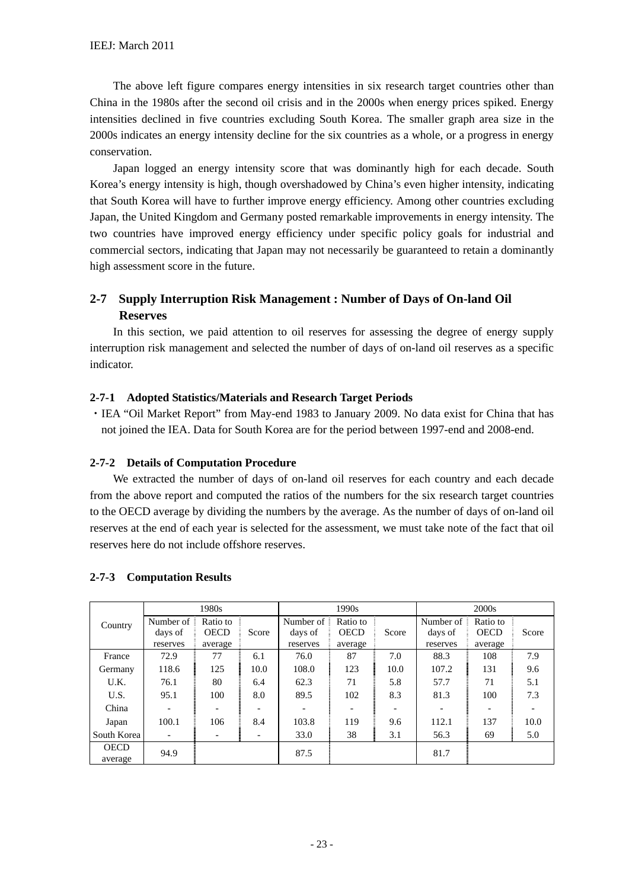The above left figure compares energy intensities in six research target countries other than China in the 1980s after the second oil crisis and in the 2000s when energy prices spiked. Energy intensities declined in five countries excluding South Korea. The smaller graph area size in the 2000s indicates an energy intensity decline for the six countries as a whole, or a progress in energy conservation.

Japan logged an energy intensity score that was dominantly high for each decade. South Korea's energy intensity is high, though overshadowed by China's even higher intensity, indicating that South Korea will have to further improve energy efficiency. Among other countries excluding Japan, the United Kingdom and Germany posted remarkable improvements in energy intensity. The two countries have improved energy efficiency under specific policy goals for industrial and commercial sectors, indicating that Japan may not necessarily be guaranteed to retain a dominantly high assessment score in the future.

# **2-7 Supply Interruption Risk Management : Number of Days of On-land Oil Reserves**

In this section, we paid attention to oil reserves for assessing the degree of energy supply interruption risk management and selected the number of days of on-land oil reserves as a specific indicator.

### **2-7-1 Adopted Statistics/Materials and Research Target Periods**

・IEA "Oil Market Report" from May-end 1983 to January 2009. No data exist for China that has not joined the IEA. Data for South Korea are for the period between 1997-end and 2008-end.

#### **2-7-2 Details of Computation Procedure**

We extracted the number of days of on-land oil reserves for each country and each decade from the above report and computed the ratios of the numbers for the six research target countries to the OECD average by dividing the numbers by the average. As the number of days of on-land oil reserves at the end of each year is selected for the assessment, we must take note of the fact that oil reserves here do not include offshore reserves.

|             |                         | 1980s       |                 |           | 1990s       |       |           | 2000s                    |       |
|-------------|-------------------------|-------------|-----------------|-----------|-------------|-------|-----------|--------------------------|-------|
| Country     | Number of $\frac{1}{2}$ | Ratio to    |                 | Number of | Ratio to    |       | Number of | Ratio to                 |       |
|             | days of                 | <b>OECD</b> | Score           | days of   | <b>OECD</b> | Score | days of   | <b>OECD</b>              | Score |
|             | reserves                | average     |                 | reserves  | average     |       | reserves  | average                  |       |
| France      | 72.9                    | 77          | 6.1             | 76.0      | 87          | 7.0   | 88.3      | 108                      | 7.9   |
| Germany     | 118.6                   | 125         | 10.0            | 108.0     | 123         | 10.0  | 107.2     | 131                      | 9.6   |
| U.K.        | 76.1                    | 80          | 6.4             | 62.3      | 71          | 5.8   | 57.7      | 71                       | 5.1   |
| U.S.        | 95.1                    | 100         | 8.0             | 89.5      | 102         | 8.3   | 81.3      | 100                      | 7.3   |
| China       |                         |             | $\qquad \qquad$ |           |             |       |           | $\overline{\phantom{a}}$ |       |
| Japan       | 100.1                   | 106         | 8.4             | 103.8     | 119         | 9.6   | 112.1     | 137                      | 10.0  |
| South Korea |                         |             |                 | 33.0      | 38          | 3.1   | 56.3      | 69                       | 5.0   |
| <b>OECD</b> | 94.9                    |             |                 | 87.5      |             |       | 81.7      |                          |       |
| average     |                         |             |                 |           |             |       |           |                          |       |

#### **2-7-3 Computation Results**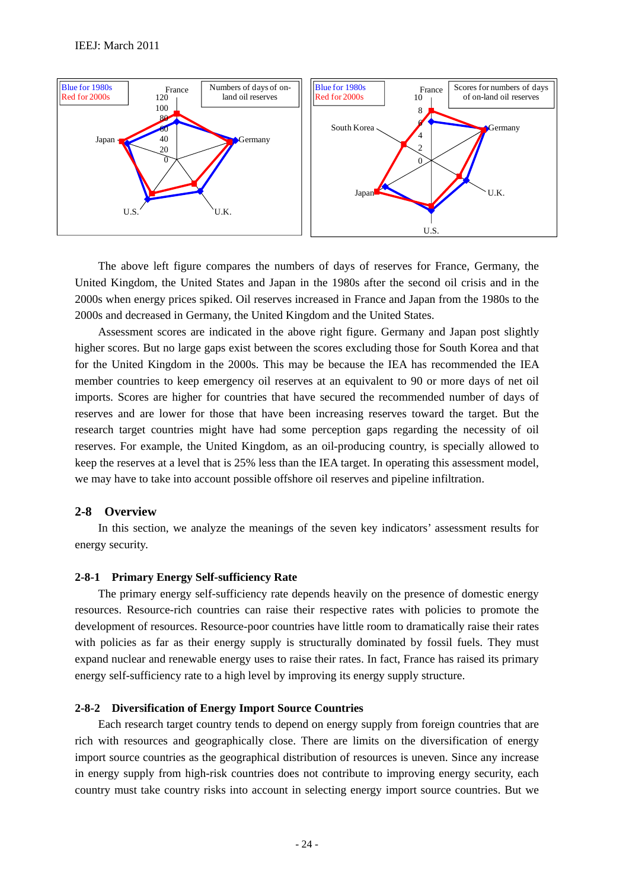

The above left figure compares the numbers of days of reserves for France, Germany, the United Kingdom, the United States and Japan in the 1980s after the second oil crisis and in the 2000s when energy prices spiked. Oil reserves increased in France and Japan from the 1980s to the 2000s and decreased in Germany, the United Kingdom and the United States.

Assessment scores are indicated in the above right figure. Germany and Japan post slightly higher scores. But no large gaps exist between the scores excluding those for South Korea and that for the United Kingdom in the 2000s. This may be because the IEA has recommended the IEA member countries to keep emergency oil reserves at an equivalent to 90 or more days of net oil imports. Scores are higher for countries that have secured the recommended number of days of reserves and are lower for those that have been increasing reserves toward the target. But the research target countries might have had some perception gaps regarding the necessity of oil reserves. For example, the United Kingdom, as an oil-producing country, is specially allowed to keep the reserves at a level that is 25% less than the IEA target. In operating this assessment model, we may have to take into account possible offshore oil reserves and pipeline infiltration.

#### **2-8 Overview**

In this section, we analyze the meanings of the seven key indicators' assessment results for energy security.

#### **2-8-1 Primary Energy Self-sufficiency Rate**

The primary energy self-sufficiency rate depends heavily on the presence of domestic energy resources. Resource-rich countries can raise their respective rates with policies to promote the development of resources. Resource-poor countries have little room to dramatically raise their rates with policies as far as their energy supply is structurally dominated by fossil fuels. They must expand nuclear and renewable energy uses to raise their rates. In fact, France has raised its primary energy self-sufficiency rate to a high level by improving its energy supply structure.

#### **2-8-2 Diversification of Energy Import Source Countries**

Each research target country tends to depend on energy supply from foreign countries that are rich with resources and geographically close. There are limits on the diversification of energy import source countries as the geographical distribution of resources is uneven. Since any increase in energy supply from high-risk countries does not contribute to improving energy security, each country must take country risks into account in selecting energy import source countries. But we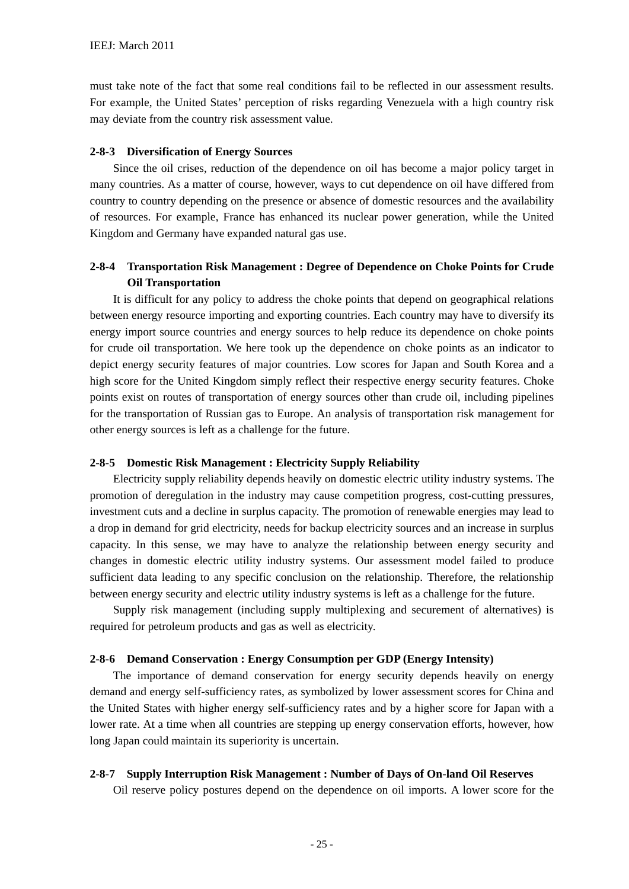must take note of the fact that some real conditions fail to be reflected in our assessment results. For example, the United States' perception of risks regarding Venezuela with a high country risk may deviate from the country risk assessment value.

#### **2-8-3 Diversification of Energy Sources**

Since the oil crises, reduction of the dependence on oil has become a major policy target in many countries. As a matter of course, however, ways to cut dependence on oil have differed from country to country depending on the presence or absence of domestic resources and the availability of resources. For example, France has enhanced its nuclear power generation, while the United Kingdom and Germany have expanded natural gas use.

# **2-8-4 Transportation Risk Management : Degree of Dependence on Choke Points for Crude Oil Transportation**

It is difficult for any policy to address the choke points that depend on geographical relations between energy resource importing and exporting countries. Each country may have to diversify its energy import source countries and energy sources to help reduce its dependence on choke points for crude oil transportation. We here took up the dependence on choke points as an indicator to depict energy security features of major countries. Low scores for Japan and South Korea and a high score for the United Kingdom simply reflect their respective energy security features. Choke points exist on routes of transportation of energy sources other than crude oil, including pipelines for the transportation of Russian gas to Europe. An analysis of transportation risk management for other energy sources is left as a challenge for the future.

#### **2-8-5 Domestic Risk Management : Electricity Supply Reliability**

Electricity supply reliability depends heavily on domestic electric utility industry systems. The promotion of deregulation in the industry may cause competition progress, cost-cutting pressures, investment cuts and a decline in surplus capacity. The promotion of renewable energies may lead to a drop in demand for grid electricity, needs for backup electricity sources and an increase in surplus capacity. In this sense, we may have to analyze the relationship between energy security and changes in domestic electric utility industry systems. Our assessment model failed to produce sufficient data leading to any specific conclusion on the relationship. Therefore, the relationship between energy security and electric utility industry systems is left as a challenge for the future.

Supply risk management (including supply multiplexing and securement of alternatives) is required for petroleum products and gas as well as electricity.

#### **2-8-6 Demand Conservation : Energy Consumption per GDP (Energy Intensity)**

The importance of demand conservation for energy security depends heavily on energy demand and energy self-sufficiency rates, as symbolized by lower assessment scores for China and the United States with higher energy self-sufficiency rates and by a higher score for Japan with a lower rate. At a time when all countries are stepping up energy conservation efforts, however, how long Japan could maintain its superiority is uncertain.

#### **2-8-7 Supply Interruption Risk Management : Number of Days of On-land Oil Reserves**

Oil reserve policy postures depend on the dependence on oil imports. A lower score for the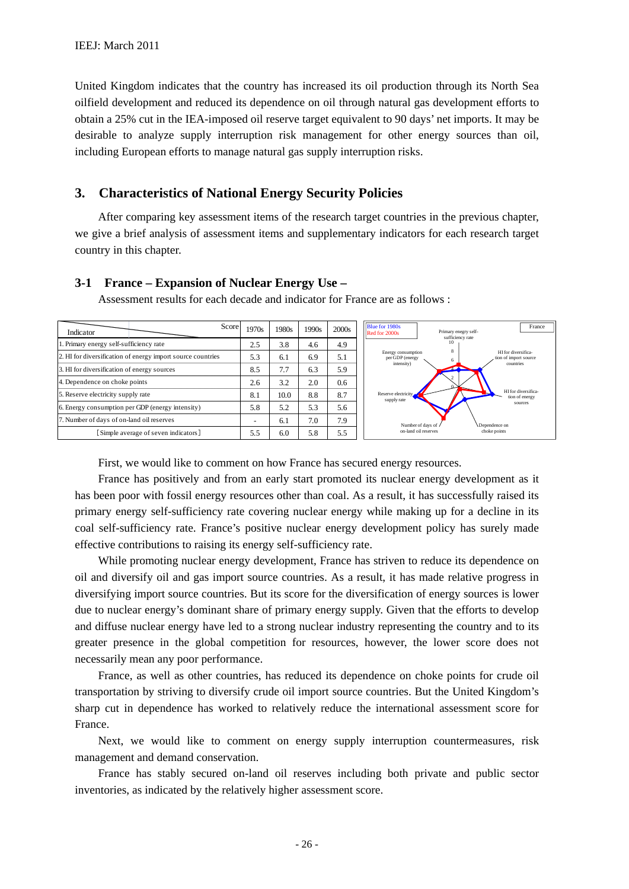United Kingdom indicates that the country has increased its oil production through its North Sea oilfield development and reduced its dependence on oil through natural gas development efforts to obtain a 25% cut in the IEA-imposed oil reserve target equivalent to 90 days' net imports. It may be desirable to analyze supply interruption risk management for other energy sources than oil, including European efforts to manage natural gas supply interruption risks.

# **3. Characteristics of National Energy Security Policies**

After comparing key assessment items of the research target countries in the previous chapter, we give a brief analysis of assessment items and supplementary indicators for each research target country in this chapter.

| Score<br>Indicator                                          | 1970s                    | 1980s | 1990s | 2000s | <b>Blue for 1980s</b><br>France<br>Primary enegry self-<br>Red for 2000s<br>sufficiency rate |
|-------------------------------------------------------------|--------------------------|-------|-------|-------|----------------------------------------------------------------------------------------------|
| . Primary energy self-sufficiency rate                      | 2.5                      | 3.8   | 4.6   | 4.9   | 10                                                                                           |
| 2. HI for diversification of energy import source countries | 5.3                      | 6.1   | 6.9   | 5.1   | 8<br>HI for diversifica-<br>Energy consumption<br>per GDP (energy<br>tion of import source   |
| 3. HI for diversification of energy sources                 | 8.5                      | 7.7   | 6.3   | 5.9   | intensity)<br>countries                                                                      |
| 4. Dependence on choke points                               | 2.6                      | 3.2   | 2.0   | 0.6   |                                                                                              |
| 5. Reserve electricity supply rate                          | 8.1                      | 10.0  | 8.8   | 8.7   | HI for diversifica-<br>Reserve electricity<br>tion of energy<br>supply rate                  |
| 6. Energy consumption per GDP (energy intensity)            | 5.8                      | 5.2   | 5.3   | 5.6   | sources                                                                                      |
| 7. Number of days of on-land oil reserves                   | $\overline{\phantom{0}}$ | 6.1   | 7.0   | 7.9   | Number of days of /<br>Dependence on                                                         |
| Simple average of seven indicators]                         | 5.5                      | 6.0   | 5.8   | 5.5   | on-land oil reserves<br>choke points                                                         |

**3-1 France – Expansion of Nuclear Energy Use –** 

Assessment results for each decade and indicator for France are as follows :

First, we would like to comment on how France has secured energy resources.

France has positively and from an early start promoted its nuclear energy development as it has been poor with fossil energy resources other than coal. As a result, it has successfully raised its primary energy self-sufficiency rate covering nuclear energy while making up for a decline in its coal self-sufficiency rate. France's positive nuclear energy development policy has surely made effective contributions to raising its energy self-sufficiency rate.

While promoting nuclear energy development. France has striven to reduce its dependence on oil and diversify oil and gas import source countries. As a result, it has made relative progress in diversifying import source countries. But its score for the diversification of energy sources is lower due to nuclear energy's dominant share of primary energy supply. Given that the efforts to develop and diffuse nuclear energy have led to a strong nuclear industry representing the country and to its greater presence in the global competition for resources, however, the lower score does not necessarily mean any poor performance.

France, as well as other countries, has reduced its dependence on choke points for crude oil transportation by striving to diversify crude oil import source countries. But the United Kingdom's sharp cut in dependence has worked to relatively reduce the international assessment score for France.

Next, we would like to comment on energy supply interruption countermeasures, risk management and demand conservation.

France has stably secured on-land oil reserves including both private and public sector inventories, as indicated by the relatively higher assessment score.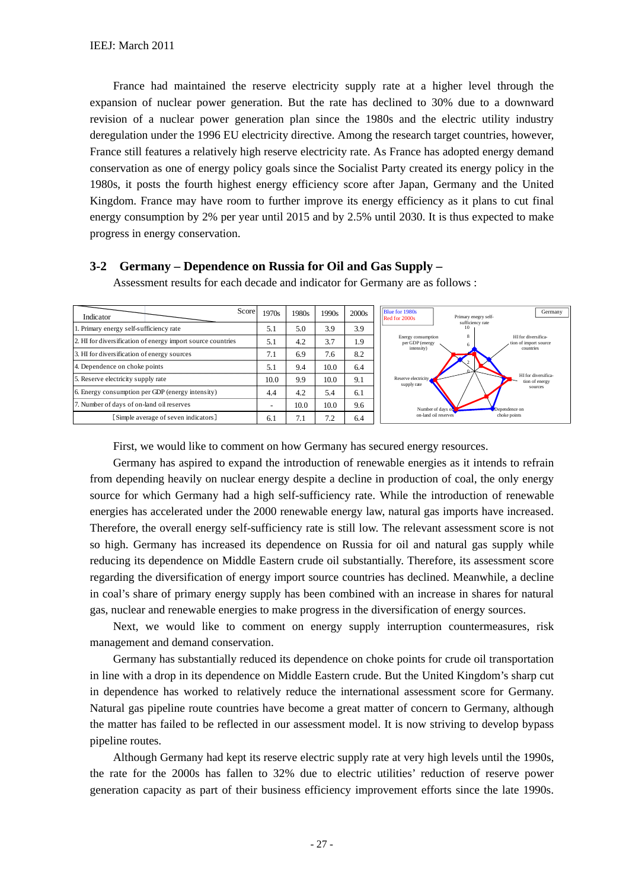France had maintained the reserve electricity supply rate at a higher level through the expansion of nuclear power generation. But the rate has declined to 30% due to a downward revision of a nuclear power generation plan since the 1980s and the electric utility industry deregulation under the 1996 EU electricity directive. Among the research target countries, however, France still features a relatively high reserve electricity rate. As France has adopted energy demand conservation as one of energy policy goals since the Socialist Party created its energy policy in the 1980s, it posts the fourth highest energy efficiency score after Japan, Germany and the United Kingdom. France may have room to further improve its energy efficiency as it plans to cut final energy consumption by 2% per year until 2015 and by 2.5% until 2030. It is thus expected to make progress in energy conservation.

| Score<br>Indicator                                          | 1970s | 1980s            | 1990s | 2000 <sub>s</sub> | Blue for 1980s<br>Germany<br>Primary enegry self-<br>Red for 2000s                    |
|-------------------------------------------------------------|-------|------------------|-------|-------------------|---------------------------------------------------------------------------------------|
| 1. Primary energy self-sufficiency rate                     | 5.1   | 5.0              | 3.9   | 3.9               | sufficiency rate<br>10                                                                |
| 2. HI for diversification of energy import source countries | 5.1   | 4.2              | 3.7   | 1.9               | HI for diversifica-<br>Energy consumption<br>per GDP (energy<br>tion of import source |
| 3. HI for diversification of energy sources                 | 7.1   | 6.9              | 7.6   | 8.2               | intensity)<br>countries                                                               |
| 4. Dependence on choke points                               | 5.1   | 9.4              | 10.0  | 6.4               |                                                                                       |
| 5. Reserve electricity supply rate                          | 10.0  | 9.9              | 10.0  | 9.1               | HI for diversifica-<br>Reserve electricity<br>tion of energy<br>supply rate           |
| 6. Energy consumption per GDP (energy intensity)            | 4.4   | 4.2              | 5.4   | 6.1               | sources                                                                               |
| 7. Number of days of on-land oil reserves                   | -     | 10.0             | 10.0  | 9.6               | Number of days of<br>Dependence on                                                    |
| [Simple average of seven indicators]                        | 6.1   | $\overline{1}$ . | 7.2   | 6.4               | choke points<br>on-land oil reserves                                                  |

#### **3-2 Germany – Dependence on Russia for Oil and Gas Supply –**

Assessment results for each decade and indicator for Germany are as follows :

First, we would like to comment on how Germany has secured energy resources.

Germany has aspired to expand the introduction of renewable energies as it intends to refrain from depending heavily on nuclear energy despite a decline in production of coal, the only energy source for which Germany had a high self-sufficiency rate. While the introduction of renewable energies has accelerated under the 2000 renewable energy law, natural gas imports have increased. Therefore, the overall energy self-sufficiency rate is still low. The relevant assessment score is not so high. Germany has increased its dependence on Russia for oil and natural gas supply while reducing its dependence on Middle Eastern crude oil substantially. Therefore, its assessment score regarding the diversification of energy import source countries has declined. Meanwhile, a decline in coal's share of primary energy supply has been combined with an increase in shares for natural gas, nuclear and renewable energies to make progress in the diversification of energy sources.

Next, we would like to comment on energy supply interruption countermeasures, risk management and demand conservation.

Germany has substantially reduced its dependence on choke points for crude oil transportation in line with a drop in its dependence on Middle Eastern crude. But the United Kingdom's sharp cut in dependence has worked to relatively reduce the international assessment score for Germany. Natural gas pipeline route countries have become a great matter of concern to Germany, although the matter has failed to be reflected in our assessment model. It is now striving to develop bypass pipeline routes.

Although Germany had kept its reserve electric supply rate at very high levels until the 1990s, the rate for the 2000s has fallen to 32% due to electric utilities' reduction of reserve power generation capacity as part of their business efficiency improvement efforts since the late 1990s.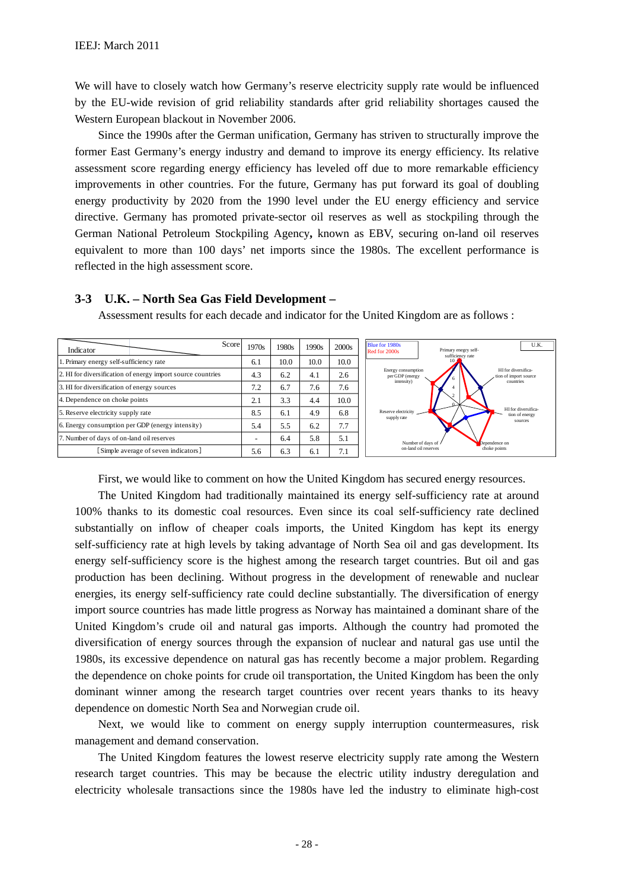We will have to closely watch how Germany's reserve electricity supply rate would be influenced by the EU-wide revision of grid reliability standards after grid reliability shortages caused the Western European blackout in November 2006.

Since the 1990s after the German unification, Germany has striven to structurally improve the former East Germany's energy industry and demand to improve its energy efficiency. Its relative assessment score regarding energy efficiency has leveled off due to more remarkable efficiency improvements in other countries. For the future, Germany has put forward its goal of doubling energy productivity by 2020 from the 1990 level under the EU energy efficiency and service directive. Germany has promoted private-sector oil reserves as well as stockpiling through the German National Petroleum Stockpiling Agency**,** known as EBV, securing on-land oil reserves equivalent to more than 100 days' net imports since the 1980s. The excellent performance is reflected in the high assessment score.

| Score<br>Indicator                                          | 1970s                | 1980s | 1990s | 2000s                | <b>Blue for 1980s</b><br>U.K.<br>Primary enegry self-<br>Red for 2000s<br>sufficiency rate |
|-------------------------------------------------------------|----------------------|-------|-------|----------------------|--------------------------------------------------------------------------------------------|
| 1. Primary energy self-sufficiency rate                     | 6.1                  | 10.0  | 10.0  | 10.0                 |                                                                                            |
| 2. HI for diversification of energy import source countries | 4.3                  | 6.2   | 4.1   | 2.6                  | HI for diversifica-<br>Energy consumption<br>per GDP (energy<br>, tion of import source    |
| 3. HI for diversification of energy sources                 | 7.2                  | 6.7   | 7.6   | 7.6                  | intensity)<br>countries                                                                    |
| 4. Dependence on choke points                               | ົ<br>$\mathcal{L}$ . | 3.3   | 4.4   | 10.0                 |                                                                                            |
| 5. Reserve electricity supply rate                          | 8.5                  | 6.1   | 4.9   | 6.8                  | HI for diversifica-<br>Reserve electricity<br>tion of energy<br>supply rate                |
| 6. Energy consumption per GDP (energy intensity)            | 5.4                  | 5.5   | 6.2   | 7.7                  | sources                                                                                    |
| 7. Number of days of on-land oil reserves                   | ۰                    | 6.4   | 5.8   | 5.1                  | Number of days of /<br>Dependence on                                                       |
| [Simple average of seven indicators]                        | 5.6                  | 6.3   | 6.1   | −<br>$^{\prime}$ . I | on-land oil reserves<br>choke points                                                       |

**3-3 U.K. – North Sea Gas Field Development –** 

Assessment results for each decade and indicator for the United Kingdom are as follows :

First, we would like to comment on how the United Kingdom has secured energy resources.

The United Kingdom had traditionally maintained its energy self-sufficiency rate at around 100% thanks to its domestic coal resources. Even since its coal self-sufficiency rate declined substantially on inflow of cheaper coals imports, the United Kingdom has kept its energy self-sufficiency rate at high levels by taking advantage of North Sea oil and gas development. Its energy self-sufficiency score is the highest among the research target countries. But oil and gas production has been declining. Without progress in the development of renewable and nuclear energies, its energy self-sufficiency rate could decline substantially. The diversification of energy import source countries has made little progress as Norway has maintained a dominant share of the United Kingdom's crude oil and natural gas imports. Although the country had promoted the diversification of energy sources through the expansion of nuclear and natural gas use until the 1980s, its excessive dependence on natural gas has recently become a major problem. Regarding the dependence on choke points for crude oil transportation, the United Kingdom has been the only dominant winner among the research target countries over recent years thanks to its heavy dependence on domestic North Sea and Norwegian crude oil.

Next, we would like to comment on energy supply interruption countermeasures, risk management and demand conservation.

The United Kingdom features the lowest reserve electricity supply rate among the Western research target countries. This may be because the electric utility industry deregulation and electricity wholesale transactions since the 1980s have led the industry to eliminate high-cost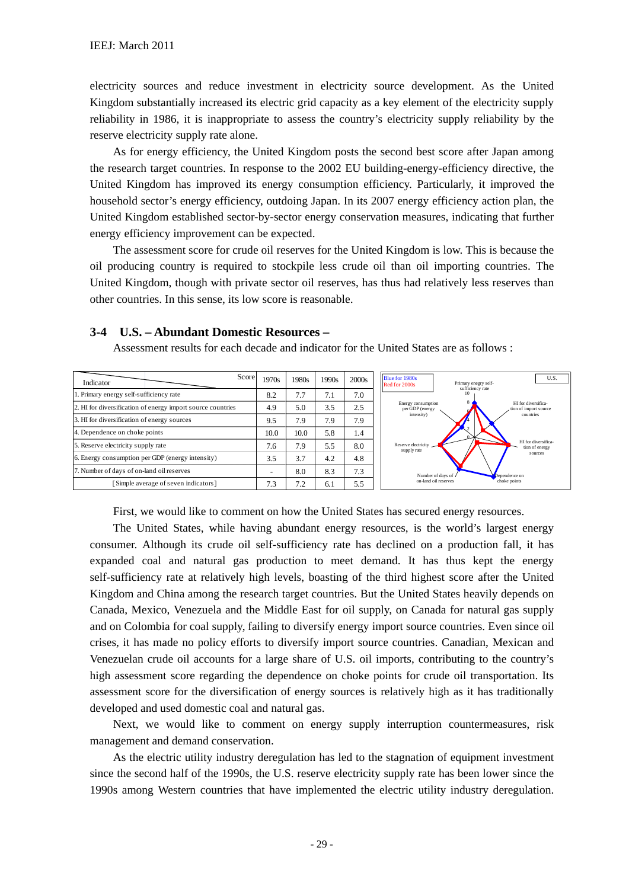electricity sources and reduce investment in electricity source development. As the United Kingdom substantially increased its electric grid capacity as a key element of the electricity supply reliability in 1986, it is inappropriate to assess the country's electricity supply reliability by the reserve electricity supply rate alone.

As for energy efficiency, the United Kingdom posts the second best score after Japan among the research target countries. In response to the 2002 EU building-energy-efficiency directive, the United Kingdom has improved its energy consumption efficiency. Particularly, it improved the household sector's energy efficiency, outdoing Japan. In its 2007 energy efficiency action plan, the United Kingdom established sector-by-sector energy conservation measures, indicating that further energy efficiency improvement can be expected.

The assessment score for crude oil reserves for the United Kingdom is low. This is because the oil producing country is required to stockpile less crude oil than oil importing countries. The United Kingdom, though with private sector oil reserves, has thus had relatively less reserves than other countries. In this sense, its low score is reasonable.



#### **3-4 U.S. – Abundant Domestic Resources –**

Assessment results for each decade and indicator for the United States are as follows :

First, we would like to comment on how the United States has secured energy resources.

The United States, while having abundant energy resources, is the world's largest energy consumer. Although its crude oil self-sufficiency rate has declined on a production fall, it has expanded coal and natural gas production to meet demand. It has thus kept the energy self-sufficiency rate at relatively high levels, boasting of the third highest score after the United Kingdom and China among the research target countries. But the United States heavily depends on Canada, Mexico, Venezuela and the Middle East for oil supply, on Canada for natural gas supply and on Colombia for coal supply, failing to diversify energy import source countries. Even since oil crises, it has made no policy efforts to diversify import source countries. Canadian, Mexican and Venezuelan crude oil accounts for a large share of U.S. oil imports, contributing to the country's high assessment score regarding the dependence on choke points for crude oil transportation. Its assessment score for the diversification of energy sources is relatively high as it has traditionally developed and used domestic coal and natural gas.

Next, we would like to comment on energy supply interruption countermeasures, risk management and demand conservation.

As the electric utility industry deregulation has led to the stagnation of equipment investment since the second half of the 1990s, the U.S. reserve electricity supply rate has been lower since the 1990s among Western countries that have implemented the electric utility industry deregulation.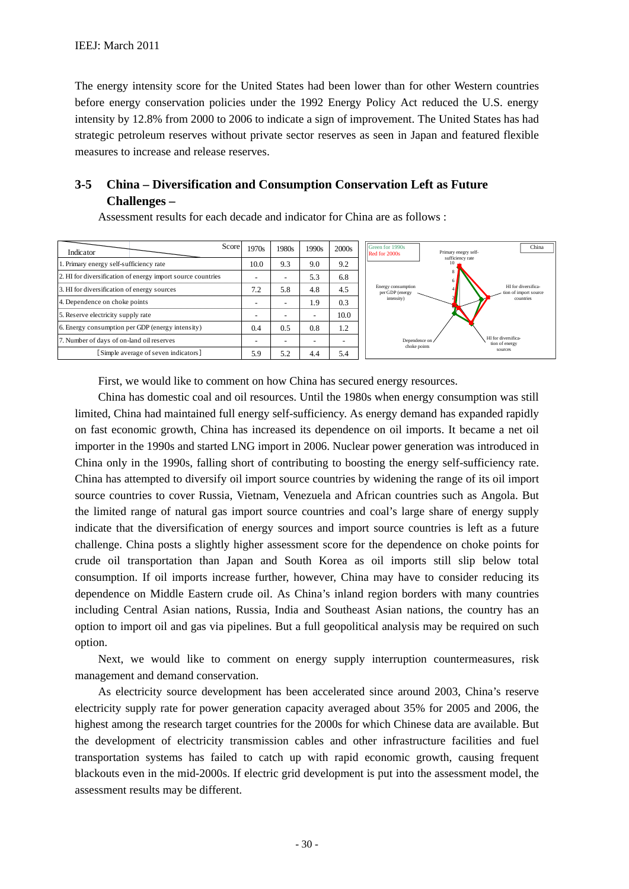The energy intensity score for the United States had been lower than for other Western countries before energy conservation policies under the 1992 Energy Policy Act reduced the U.S. energy intensity by 12.8% from 2000 to 2006 to indicate a sign of improvement. The United States has had strategic petroleum reserves without private sector reserves as seen in Japan and featured flexible measures to increase and release reserves.

# **3-5 China – Diversification and Consumption Conservation Left as Future Challenges –**

Assessment results for each decade and indicator for China are as follows :



First, we would like to comment on how China has secured energy resources.

China has domestic coal and oil resources. Until the 1980s when energy consumption was still limited, China had maintained full energy self-sufficiency. As energy demand has expanded rapidly on fast economic growth, China has increased its dependence on oil imports. It became a net oil importer in the 1990s and started LNG import in 2006. Nuclear power generation was introduced in China only in the 1990s, falling short of contributing to boosting the energy self-sufficiency rate. China has attempted to diversify oil import source countries by widening the range of its oil import source countries to cover Russia, Vietnam, Venezuela and African countries such as Angola. But the limited range of natural gas import source countries and coal's large share of energy supply indicate that the diversification of energy sources and import source countries is left as a future challenge. China posts a slightly higher assessment score for the dependence on choke points for crude oil transportation than Japan and South Korea as oil imports still slip below total consumption. If oil imports increase further, however, China may have to consider reducing its dependence on Middle Eastern crude oil. As China's inland region borders with many countries including Central Asian nations, Russia, India and Southeast Asian nations, the country has an option to import oil and gas via pipelines. But a full geopolitical analysis may be required on such option.

Next, we would like to comment on energy supply interruption countermeasures, risk management and demand conservation.

As electricity source development has been accelerated since around 2003, China's reserve electricity supply rate for power generation capacity averaged about 35% for 2005 and 2006, the highest among the research target countries for the 2000s for which Chinese data are available. But the development of electricity transmission cables and other infrastructure facilities and fuel transportation systems has failed to catch up with rapid economic growth, causing frequent blackouts even in the mid-2000s. If electric grid development is put into the assessment model, the assessment results may be different.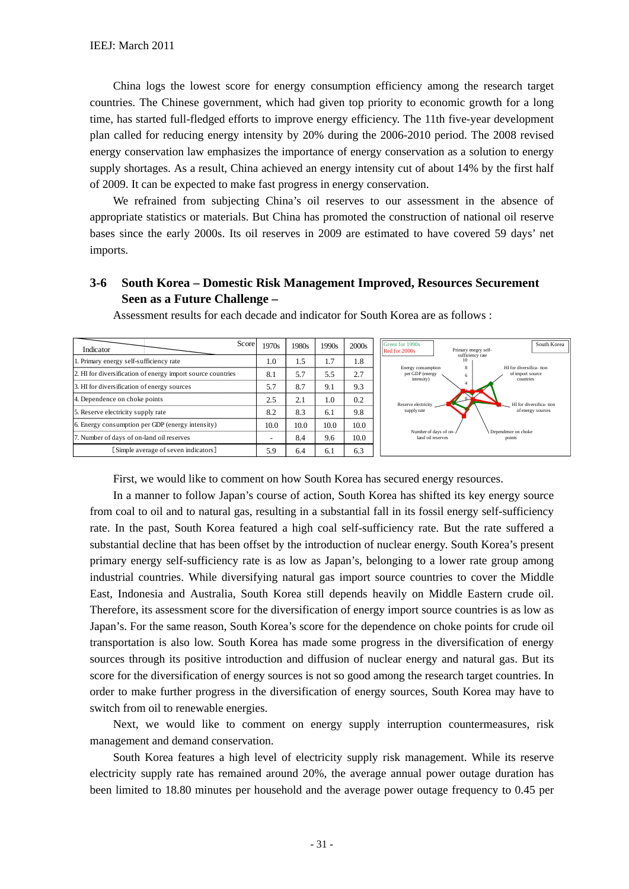China logs the lowest score for energy consumption efficiency among the research target countries. The Chinese government, which had given top priority to economic growth for a long time, has started full-fledged efforts to improve energy efficiency. The 11th five-year development plan called for reducing energy intensity by 20% during the 2006-2010 period. The 2008 revised energy conservation law emphasizes the importance of energy conservation as a solution to energy supply shortages. As a result, China achieved an energy intensity cut of about 14% by the first half of 2009. It can be expected to make fast progress in energy conservation.

We refrained from subjecting China's oil reserves to our assessment in the absence of appropriate statistics or materials. But China has promoted the construction of national oil reserve bases since the early 2000s. Its oil reserves in 2009 are estimated to have covered 59 days' net imports.

### **3-6 South Korea – Domestic Risk Management Improved, Resources Securement Seen as a Future Challenge –**

| Score<br>Indicator                                          | 1970s | 1980s | 1990s | 2000s | Green for 1990s<br>South Korea<br>Primary enegry self-<br>Red for 2000s                                          |
|-------------------------------------------------------------|-------|-------|-------|-------|------------------------------------------------------------------------------------------------------------------|
| 1. Primary energy self-sufficiency rate                     | 1.0   | 1.5   | 1.7   | 1.8   | sufficiency rate                                                                                                 |
| 2. HI for diversification of energy import source countries | 8.1   | 5.7   | 5.5   | 2.7   | HI for diversifica- tion<br>Energy consumption<br>per GDP (energy<br>of import source<br>intensity)<br>countries |
| 3. HI for diversification of energy sources                 | 5.7   | 8.7   | 9.1   | 9.3   |                                                                                                                  |
| 4. Dependence on choke points                               | 2.5   | 2.1   | 1.0   | 0.2   | Reserve electricity<br>HI for diversifica- tion                                                                  |
| 5. Reserve electricity supply rate                          | 8.2   | 8.3   | 6.1   | 9.8   | supply rate<br>of energy sources                                                                                 |
| 6. Energy consumption per GDP (energy intensity)            | 10.0  | 10.0  | 10.0  | 10.0  |                                                                                                                  |
| 7. Number of days of on-land oil reserves                   |       | 8.4   | 9.6   | 10.0  | Number of days of on-/<br>Dependence on choke<br>land oil reserves<br>points                                     |
| [Simple average of seven indicators]                        | 5.9   | 6.4   | 6.1   | 6.3   |                                                                                                                  |

Assessment results for each decade and indicator for South Korea are as follows :

First, we would like to comment on how South Korea has secured energy resources.

In a manner to follow Japan's course of action, South Korea has shifted its key energy source from coal to oil and to natural gas, resulting in a substantial fall in its fossil energy self-sufficiency rate. In the past, South Korea featured a high coal self-sufficiency rate. But the rate suffered a substantial decline that has been offset by the introduction of nuclear energy. South Korea's present primary energy self-sufficiency rate is as low as Japan's, belonging to a lower rate group among industrial countries. While diversifying natural gas import source countries to cover the Middle East, Indonesia and Australia, South Korea still depends heavily on Middle Eastern crude oil. Therefore, its assessment score for the diversification of energy import source countries is as low as Japan's. For the same reason, South Korea's score for the dependence on choke points for crude oil transportation is also low. South Korea has made some progress in the diversification of energy sources through its positive introduction and diffusion of nuclear energy and natural gas. But its score for the diversification of energy sources is not so good among the research target countries. In order to make further progress in the diversification of energy sources, South Korea may have to switch from oil to renewable energies.

Next, we would like to comment on energy supply interruption countermeasures, risk management and demand conservation.

South Korea features a high level of electricity supply risk management. While its reserve electricity supply rate has remained around 20%, the average annual power outage duration has been limited to 18.80 minutes per household and the average power outage frequency to 0.45 per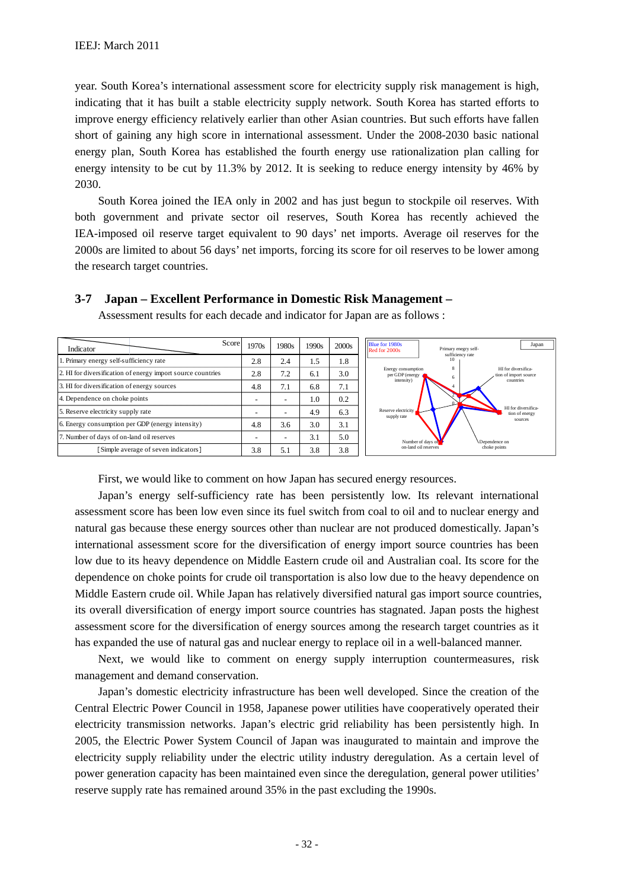year. South Korea's international assessment score for electricity supply risk management is high, indicating that it has built a stable electricity supply network. South Korea has started efforts to improve energy efficiency relatively earlier than other Asian countries. But such efforts have fallen short of gaining any high score in international assessment. Under the 2008-2030 basic national energy plan, South Korea has established the fourth energy use rationalization plan calling for energy intensity to be cut by 11.3% by 2012. It is seeking to reduce energy intensity by 46% by 2030.

South Korea joined the IEA only in 2002 and has just begun to stockpile oil reserves. With both government and private sector oil reserves, South Korea has recently achieved the IEA-imposed oil reserve target equivalent to 90 days' net imports. Average oil reserves for the 2000s are limited to about 56 days' net imports, forcing its score for oil reserves to be lower among the research target countries.

#### 2.8 2.4 1.5 1.8 2.8 7.2 6.1 3.0 4.8 7.1 6.8 7.1  $-$  1.0 0.2 4.9 6.3 4.8 3.6 3.0 3.1  $3.1$   $5.0$ 3.8 5.1 3.8 3.8 Indicator <br>1970s | 1980s | 1990s | 2000s Score 1970s 1980s 5. Reserve electricity supply rate 6. Energy consumption per GDP (energy intensity) Number of days of on-land oil reserves [Simple average of seven indicators] 1. Primary energy self-sufficiency rate 2. HI for diversification of energy import source countries 3. HI for diversification of energy sources 4. Dependence on choke points 2 4 6 8 10 Primary enegry selfsufficiency rate HI for diversification of import source countries HI for diversification of energy sources Dependence on choke points Number of days of on-land oil reserves ve electri supply rate Energy consumption per GDP (energy intensity) Blue for 1980s<br>
Red for 2000s<br>
Primary enegry self-<br>
Primary enegry self-

**3-7 Japan – Excellent Performance in Domestic Risk Management –** 

Assessment results for each decade and indicator for Japan are as follows :

First, we would like to comment on how Japan has secured energy resources.

Japan's energy self-sufficiency rate has been persistently low. Its relevant international assessment score has been low even since its fuel switch from coal to oil and to nuclear energy and natural gas because these energy sources other than nuclear are not produced domestically. Japan's international assessment score for the diversification of energy import source countries has been low due to its heavy dependence on Middle Eastern crude oil and Australian coal. Its score for the dependence on choke points for crude oil transportation is also low due to the heavy dependence on Middle Eastern crude oil. While Japan has relatively diversified natural gas import source countries, its overall diversification of energy import source countries has stagnated. Japan posts the highest assessment score for the diversification of energy sources among the research target countries as it has expanded the use of natural gas and nuclear energy to replace oil in a well-balanced manner.

Next, we would like to comment on energy supply interruption countermeasures, risk management and demand conservation.

Japan's domestic electricity infrastructure has been well developed. Since the creation of the Central Electric Power Council in 1958, Japanese power utilities have cooperatively operated their electricity transmission networks. Japan's electric grid reliability has been persistently high. In 2005, the Electric Power System Council of Japan was inaugurated to maintain and improve the electricity supply reliability under the electric utility industry deregulation. As a certain level of power generation capacity has been maintained even since the deregulation, general power utilities' reserve supply rate has remained around 35% in the past excluding the 1990s.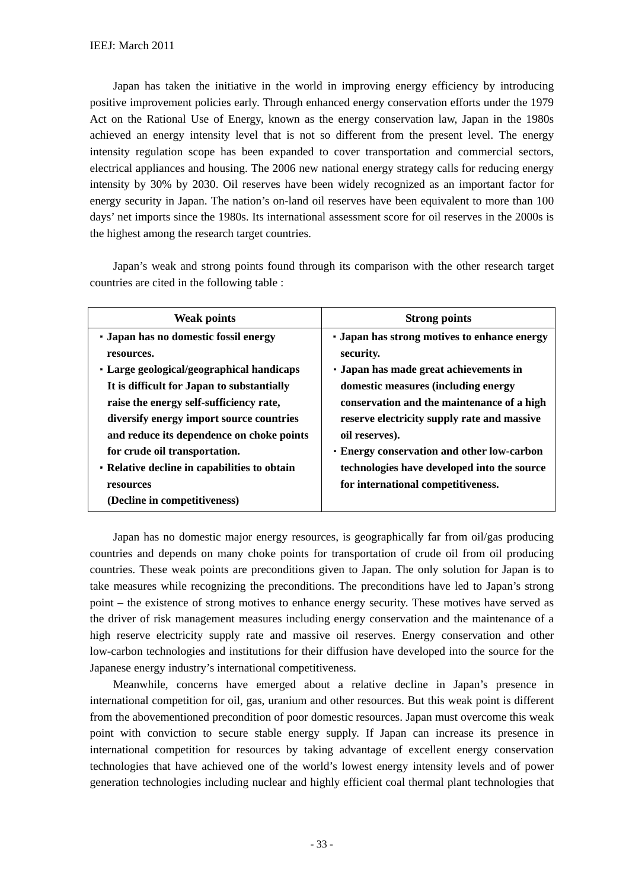Japan has taken the initiative in the world in improving energy efficiency by introducing positive improvement policies early. Through enhanced energy conservation efforts under the 1979 Act on the Rational Use of Energy, known as the energy conservation law, Japan in the 1980s achieved an energy intensity level that is not so different from the present level. The energy intensity regulation scope has been expanded to cover transportation and commercial sectors, electrical appliances and housing. The 2006 new national energy strategy calls for reducing energy intensity by 30% by 2030. Oil reserves have been widely recognized as an important factor for energy security in Japan. The nation's on-land oil reserves have been equivalent to more than 100 days' net imports since the 1980s. Its international assessment score for oil reserves in the 2000s is the highest among the research target countries.

Japan's weak and strong points found through its comparison with the other research target countries are cited in the following table :

| <b>Weak points</b>                           | <b>Strong points</b>                                |
|----------------------------------------------|-----------------------------------------------------|
| • Japan has no domestic fossil energy        | <b>· Japan has strong motives to enhance energy</b> |
| resources.                                   | security.                                           |
| • Large geological/geographical handicaps    | • Japan has made great achievements in              |
| It is difficult for Japan to substantially   | domestic measures (including energy                 |
| raise the energy self-sufficiency rate,      | conservation and the maintenance of a high          |
| diversify energy import source countries     | reserve electricity supply rate and massive         |
| and reduce its dependence on choke points    | oil reserves).                                      |
| for crude oil transportation.                | • Energy conservation and other low-carbon          |
| • Relative decline in capabilities to obtain | technologies have developed into the source         |
| resources                                    | for international competitiveness.                  |
| (Decline in competitiveness)                 |                                                     |

Japan has no domestic major energy resources, is geographically far from oil/gas producing countries and depends on many choke points for transportation of crude oil from oil producing countries. These weak points are preconditions given to Japan. The only solution for Japan is to take measures while recognizing the preconditions. The preconditions have led to Japan's strong point – the existence of strong motives to enhance energy security. These motives have served as the driver of risk management measures including energy conservation and the maintenance of a high reserve electricity supply rate and massive oil reserves. Energy conservation and other low-carbon technologies and institutions for their diffusion have developed into the source for the Japanese energy industry's international competitiveness.

Meanwhile, concerns have emerged about a relative decline in Japan's presence in international competition for oil, gas, uranium and other resources. But this weak point is different from the abovementioned precondition of poor domestic resources. Japan must overcome this weak point with conviction to secure stable energy supply. If Japan can increase its presence in international competition for resources by taking advantage of excellent energy conservation technologies that have achieved one of the world's lowest energy intensity levels and of power generation technologies including nuclear and highly efficient coal thermal plant technologies that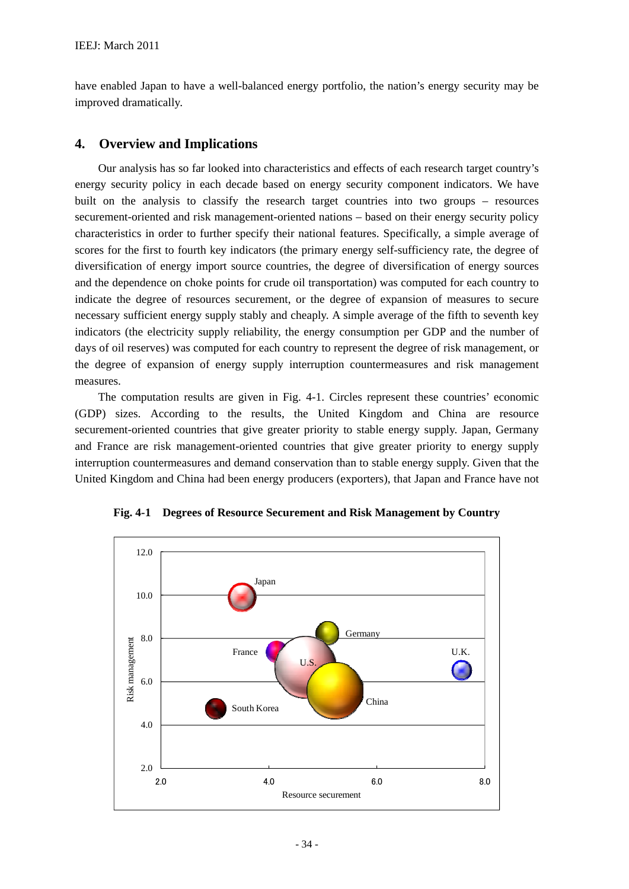have enabled Japan to have a well-balanced energy portfolio, the nation's energy security may be improved dramatically.

#### **4. Overview and Implications**

Our analysis has so far looked into characteristics and effects of each research target country's energy security policy in each decade based on energy security component indicators. We have built on the analysis to classify the research target countries into two groups – resources securement-oriented and risk management-oriented nations – based on their energy security policy characteristics in order to further specify their national features. Specifically, a simple average of scores for the first to fourth key indicators (the primary energy self-sufficiency rate, the degree of diversification of energy import source countries, the degree of diversification of energy sources and the dependence on choke points for crude oil transportation) was computed for each country to indicate the degree of resources securement, or the degree of expansion of measures to secure necessary sufficient energy supply stably and cheaply. A simple average of the fifth to seventh key indicators (the electricity supply reliability, the energy consumption per GDP and the number of days of oil reserves) was computed for each country to represent the degree of risk management, or the degree of expansion of energy supply interruption countermeasures and risk management measures.

The computation results are given in Fig. 4-1. Circles represent these countries' economic (GDP) sizes. According to the results, the United Kingdom and China are resource securement-oriented countries that give greater priority to stable energy supply. Japan, Germany and France are risk management-oriented countries that give greater priority to energy supply interruption countermeasures and demand conservation than to stable energy supply. Given that the United Kingdom and China had been energy producers (exporters), that Japan and France have not



**Fig. 4-1 Degrees of Resource Securement and Risk Management by Country**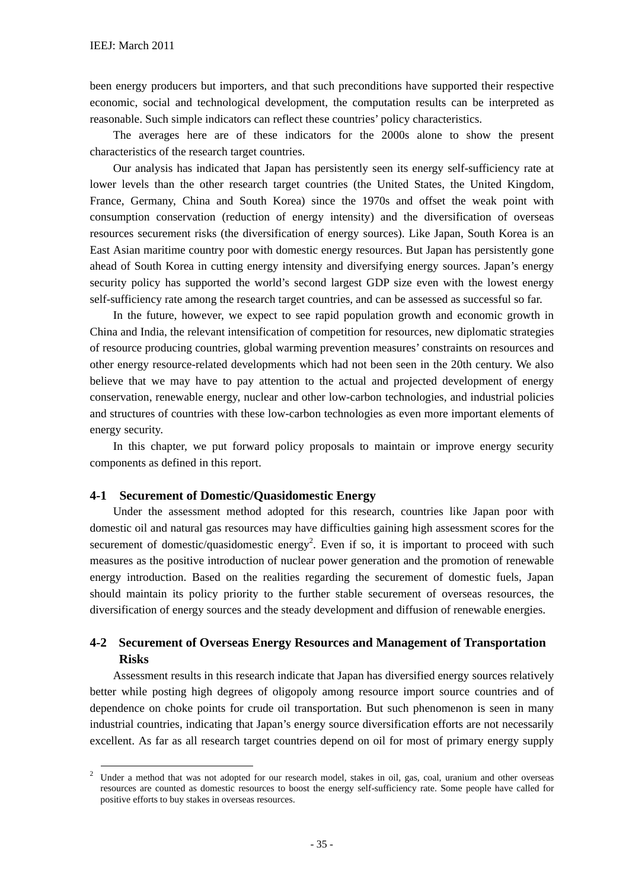been energy producers but importers, and that such preconditions have supported their respective economic, social and technological development, the computation results can be interpreted as reasonable. Such simple indicators can reflect these countries' policy characteristics.

The averages here are of these indicators for the 2000s alone to show the present characteristics of the research target countries.

Our analysis has indicated that Japan has persistently seen its energy self-sufficiency rate at lower levels than the other research target countries (the United States, the United Kingdom, France, Germany, China and South Korea) since the 1970s and offset the weak point with consumption conservation (reduction of energy intensity) and the diversification of overseas resources securement risks (the diversification of energy sources). Like Japan, South Korea is an East Asian maritime country poor with domestic energy resources. But Japan has persistently gone ahead of South Korea in cutting energy intensity and diversifying energy sources. Japan's energy security policy has supported the world's second largest GDP size even with the lowest energy self-sufficiency rate among the research target countries, and can be assessed as successful so far.

In the future, however, we expect to see rapid population growth and economic growth in China and India, the relevant intensification of competition for resources, new diplomatic strategies of resource producing countries, global warming prevention measures' constraints on resources and other energy resource-related developments which had not been seen in the 20th century. We also believe that we may have to pay attention to the actual and projected development of energy conservation, renewable energy, nuclear and other low-carbon technologies, and industrial policies and structures of countries with these low-carbon technologies as even more important elements of energy security.

In this chapter, we put forward policy proposals to maintain or improve energy security components as defined in this report.

#### **4-1 Securement of Domestic/Quasidomestic Energy**

Under the assessment method adopted for this research, countries like Japan poor with domestic oil and natural gas resources may have difficulties gaining high assessment scores for the securement of domestic/quasidomestic energy<sup>2</sup>. Even if so, it is important to proceed with such measures as the positive introduction of nuclear power generation and the promotion of renewable energy introduction. Based on the realities regarding the securement of domestic fuels, Japan should maintain its policy priority to the further stable securement of overseas resources, the diversification of energy sources and the steady development and diffusion of renewable energies.

## **4-2 Securement of Overseas Energy Resources and Management of Transportation Risks**

Assessment results in this research indicate that Japan has diversified energy sources relatively better while posting high degrees of oligopoly among resource import source countries and of dependence on choke points for crude oil transportation. But such phenomenon is seen in many industrial countries, indicating that Japan's energy source diversification efforts are not necessarily excellent. As far as all research target countries depend on oil for most of primary energy supply

<sup>&</sup>lt;sup>2</sup> Under a method that was not adopted for our research model, stakes in oil, gas, coal, uranium and other overseas resources are counted as domestic resources to boost the energy self-sufficiency rate. Some people have called for positive efforts to buy stakes in overseas resources.